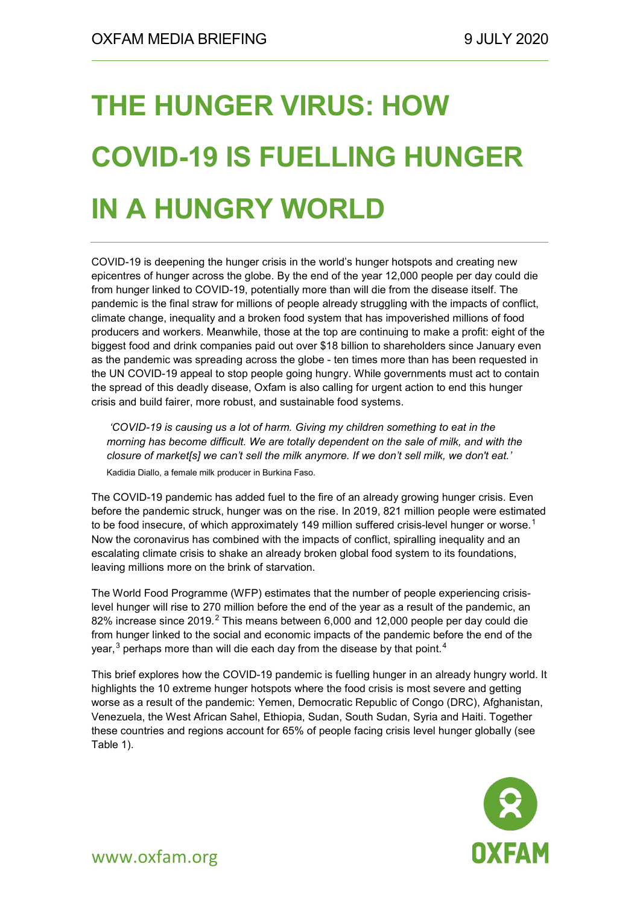# **THE HUNGER VIRUS: HOW COVID-19 IS FUELLING HUNGER IN A HUNGRY WORLD**

COVID-19 is deepening the hunger crisis in the world's hunger hotspots and creating new epicentres of hunger across the globe. By the end of the year 12,000 people per day could die from hunger linked to COVID-19, potentially more than will die from the disease itself. The pandemic is the final straw for millions of people already struggling with the impacts of conflict, climate change, inequality and a broken food system that has impoverished millions of food producers and workers. Meanwhile, those at the top are continuing to make a profit: eight of the biggest food and drink companies paid out over \$18 billion to shareholders since January even as the pandemic was spreading across the globe - ten times more than has been requested in the UN COVID-19 appeal to stop people going hungry. While governments must act to contain the spread of this deadly disease, Oxfam is also calling for urgent action to end this hunger crisis and build fairer, more robust, and sustainable food systems.

*'COVID-19 is causing us a lot of harm. Giving my children something to eat in the morning has become difficult. We are totally dependent on the sale of milk, and with the closure of market[s] we can't sell the milk anymore. If we don't sell milk, we don't eat.'* Kadidia Diallo, a female milk producer in Burkina Faso.

The COVID-19 pandemic has added fuel to the fire of an already growing hunger crisis. Even before the pandemic struck, hunger was on the rise. In 2019, 821 million people were estimated to be food insecure, of which approximately [1](#page-15-0)49 million suffered crisis-level hunger or worse. $^{\text{1}}$ Now the coronavirus has combined with the impacts of conflict, spiralling inequality and an escalating climate crisis to shake an already broken global food system to its foundations, leaving millions more on the brink of starvation.

The World Food Programme (WFP) estimates that the number of people experiencing crisislevel hunger will rise to 270 million before the end of the year as a result of the pandemic, an 8[2](#page-15-1)% increase since 2019.<sup>2</sup> This means between 6,000 and 12,000 people per day could die from hunger linked to the social and economic impacts of the pandemic before the end of the year, $^3$  $^3$  perhaps more than will die each day from the disease by that point. $^4$  $^4$ 

This brief explores how the COVID-19 pandemic is fuelling hunger in an already hungry world. It highlights the 10 extreme hunger hotspots where the food crisis is most severe and getting worse as a result of the pandemic: Yemen, Democratic Republic of Congo (DRC), Afghanistan, Venezuela, the West African Sahel, Ethiopia, Sudan, South Sudan, Syria and Haiti. Together these countries and regions account for 65% of people facing crisis level hunger globally (see Table 1).

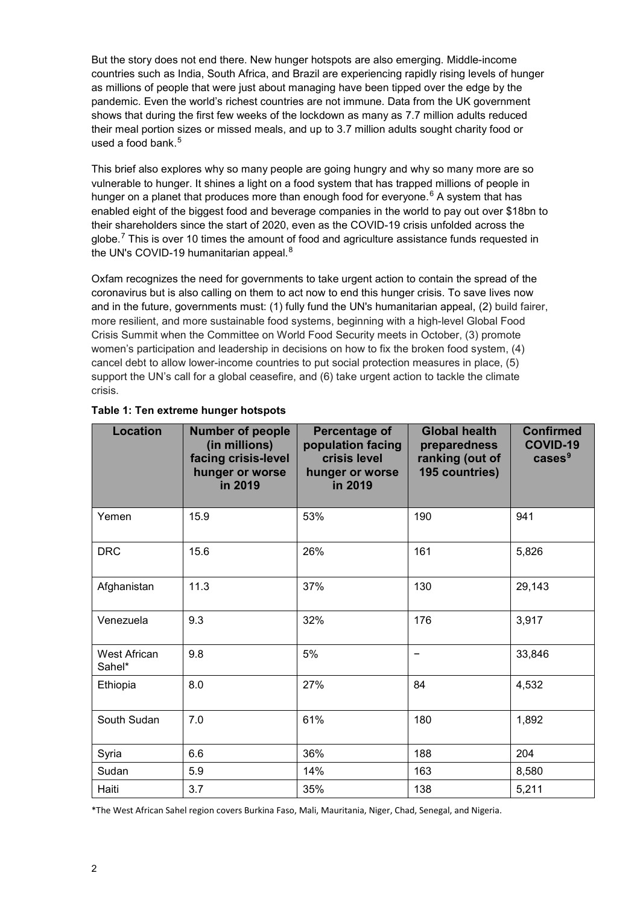But the story does not end there. New hunger hotspots are also emerging. Middle-income countries such as India, South Africa, and Brazil are experiencing rapidly rising levels of hunger as millions of people that were just about managing have been tipped over the edge by the pandemic. Even the world's richest countries are not immune. Data from the UK government shows that during the first few weeks of the lockdown as many as 7.7 million adults reduced their meal portion sizes or missed meals, and up to 3.7 million adults sought charity food or used a food bank. [5](#page-15-4)

This brief also explores why so many people are going hungry and why so many more are so vulnerable to hunger. It shines a light on a food system that has trapped millions of people in hunger on a planet that produces more than enough food for everyone. [6](#page-15-5) A system that has enabled eight of the biggest food and beverage companies in the world to pay out over \$18bn to their shareholders since the start of 2020, even as the COVID-19 crisis unfolded across the globe. $^7$  $^7$  This is over 10 times the amount of food and agriculture assistance funds requested in the UN's COVID-19 humanitarian appeal.<sup>[8](#page-15-7)</sup>

Oxfam recognizes the need for governments to take urgent action to contain the spread of the coronavirus but is also calling on them to act now to end this hunger crisis. To save lives now and in the future, governments must: (1) fully fund the UN's humanitarian appeal, (2) build fairer, more resilient, and more sustainable food systems, beginning with a high-level Global Food Crisis Summit when the Committee on World Food Security meets in October, (3) promote women's participation and leadership in decisions on how to fix the broken food system, (4) cancel debt to allow lower-income countries to put social protection measures in place, (5) support the UN's call for a global ceasefire, and (6) take urgent action to tackle the climate crisis.

| Location                      | <b>Number of people</b><br>(in millions)<br>facing crisis-level<br>hunger or worse<br>in 2019 | Percentage of<br>population facing<br>crisis level<br>hunger or worse<br>in 2019 | <b>Global health</b><br>preparedness<br>ranking (out of<br>195 countries) | <b>Confirmed</b><br>COVID-19<br>cases <sup>9</sup> |
|-------------------------------|-----------------------------------------------------------------------------------------------|----------------------------------------------------------------------------------|---------------------------------------------------------------------------|----------------------------------------------------|
| Yemen                         | 15.9                                                                                          | 53%                                                                              | 190                                                                       | 941                                                |
| <b>DRC</b>                    | 15.6                                                                                          | 26%                                                                              | 161                                                                       | 5,826                                              |
| Afghanistan                   | 11.3                                                                                          | 37%                                                                              | 130                                                                       | 29,143                                             |
| Venezuela                     | 9.3                                                                                           | 32%                                                                              | 176                                                                       | 3,917                                              |
| <b>West African</b><br>Sahel* | 9.8                                                                                           | 5%                                                                               | -                                                                         | 33,846                                             |
| Ethiopia                      | 8.0                                                                                           | 27%                                                                              | 84                                                                        | 4,532                                              |
| South Sudan                   | 7.0                                                                                           | 61%                                                                              | 180                                                                       | 1,892                                              |
| Syria                         | 6.6                                                                                           | 36%                                                                              | 188                                                                       | 204                                                |
| Sudan                         | 5.9                                                                                           | 14%                                                                              | 163                                                                       | 8,580                                              |
| Haiti                         | 3.7                                                                                           | 35%                                                                              | 138                                                                       | 5,211                                              |

#### **Table 1: Ten extreme hunger hotspots**

\*The West African Sahel region covers Burkina Faso, Mali, Mauritania, Niger, Chad, Senegal, and Nigeria.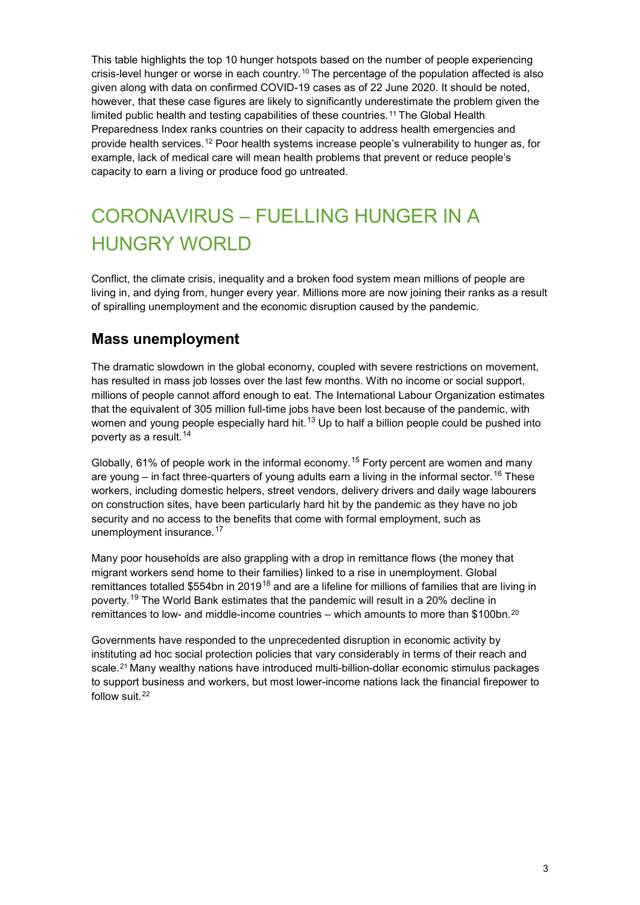This table highlights the top 10 hunger hotspots based on the number of people experiencing crisis-level hunger or worse in each country.[10](#page-15-9) The percentage of the population affected is also given along with data on confirmed COVID-19 cases as of 22 June 2020. It should be noted, however, that these case figures are likely to significantly underestimate the problem given the limited public health and testing capabilities of these countries.<sup>[11](#page-15-10)</sup> The Global Health Preparedness Index ranks countries on their capacity to address health emergencies and provide health services.[12](#page-15-11) Poor health systems increase people's vulnerability to hunger as, for example, lack of medical care will mean health problems that prevent or reduce people's capacity to earn a living or produce food go untreated.

## CORONAVIRUS – FUELLING HUNGER IN A HUNGRY WORLD

Conflict, the climate crisis, inequality and a broken food system mean millions of people are living in, and dying from, hunger every year. Millions more are now joining their ranks as a result of spiralling unemployment and the economic disruption caused by the pandemic.

## **Mass unemployment**

The dramatic slowdown in the global economy, coupled with severe restrictions on movement, has resulted in mass job losses over the last few months. With no income or social support, millions of people cannot afford enough to eat. The International Labour Organization estimates that the equivalent of 305 million full-time jobs have been lost because of the pandemic, with women and young people especially hard hit. $^{\mathsf{13}}$  $^{\mathsf{13}}$  $^{\mathsf{13}}$  Up to half a billion people could be pushed into poverty as a result. [14](#page-15-13)

Globally, 61% of people work in the informal economy.<sup>[15](#page-15-14)</sup> Forty percent are women and many are young – in fact three-quarters of young adults earn a living in the informal sector.<sup>[16](#page-15-15)</sup> These workers, including domestic helpers, street vendors, delivery drivers and daily wage labourers on construction sites, have been particularly hard hit by the pandemic as they have no job security and no access to the benefits that come with formal employment, such as unemployment insurance.<sup>[17](#page-15-16)</sup>

Many poor households are also grappling with a drop in remittance flows (the money that migrant workers send home to their families) linked to a rise in unemployment. Global remittances totalled \$554bn in 2019<sup>[18](#page-15-17)</sup> and are a lifeline for millions of families that are living in poverty. [19](#page-15-18) The World Bank estimates that the pandemic will result in a 20% decline in remittances to low- and middle-income countries – which amounts to more than \$100bn.<sup>[20](#page-15-19)</sup>

Governments have responded to the unprecedented disruption in economic activity by instituting ad hoc social protection policies that vary considerably in terms of their reach and scale.<sup>[21](#page-16-0)</sup> Many wealthy nations have introduced multi-billion-dollar economic stimulus packages to support business and workers, but most lower-income nations lack the financial firepower to follow suit.<sup>[22](#page-16-1)</sup>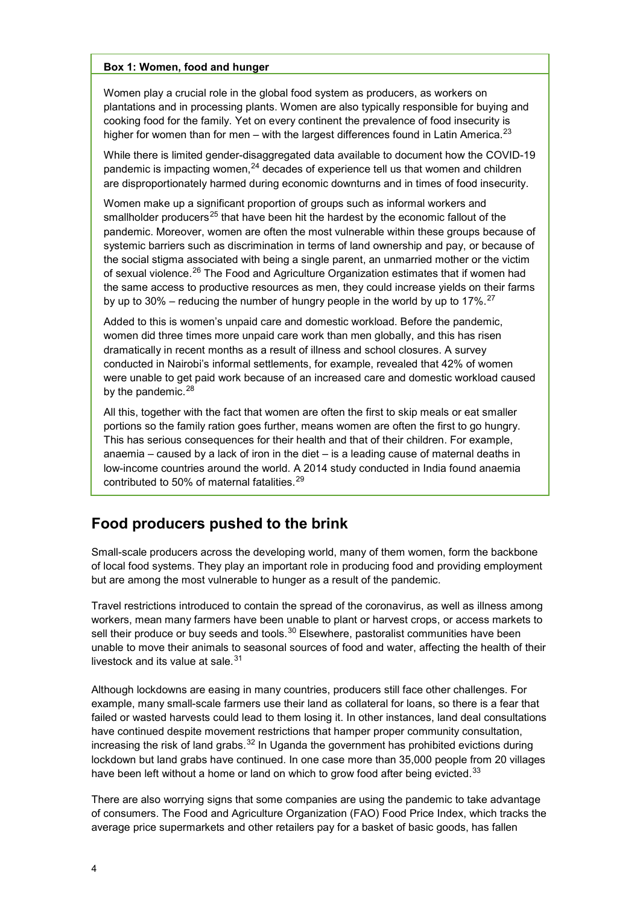#### **Box 1: Women, food and hunger**

Women play a crucial role in the global food system as producers, as workers on plantations and in processing plants. Women are also typically responsible for buying and cooking food for the family. Yet on every continent the prevalence of food insecurity is higher for women than for men – with the largest differences found in Latin America.<sup>[23](#page-16-2)</sup>

While there is limited gender-disaggregated data available to document how the COVID-19 pandemic is impacting women, $^{24}$  $^{24}$  $^{24}$  decades of experience tell us that women and children are disproportionately harmed during economic downturns and in times of food insecurity.

Women make up a significant proportion of groups such as informal workers and smallholder producers<sup>[25](#page-16-4)</sup> that have been hit the hardest by the economic fallout of the pandemic. Moreover, women are often the most vulnerable within these groups because of systemic barriers such as discrimination in terms of land ownership and pay, or because of the social stigma associated with being a single parent, an unmarried mother or the victim of sexual violence.<sup>[26](#page-16-5)</sup> The Food and Agriculture Organization estimates that if women had the same access to productive resources as men, they could increase yields on their farms by up to 30% – reducing the number of hungry people in the world by up to 17%. $^{27}$  $^{27}$  $^{27}$ 

Added to this is women's unpaid care and domestic workload. Before the pandemic, women did three times more unpaid care work than men globally, and this has risen dramatically in recent months as a result of illness and school closures. A survey conducted in Nairobi's informal settlements, for example, revealed that 42% of women were unable to get paid work because of an increased care and domestic workload caused by the pandemic.<sup>28</sup>

All this, together with the fact that women are often the first to skip meals or eat smaller portions so the family ration goes further, means women are often the first to go hungry. This has serious consequences for their health and that of their children. For example, anaemia – caused by a lack of iron in the diet – is a leading cause of maternal deaths in low-income countries around the world. A 2014 study conducted in India found anaemia contributed to 50% of maternal fatalities.<sup>[29](#page-16-8)</sup>

### **Food producers pushed to the brink**

Small-scale producers across the developing world, many of them women, form the backbone of local food systems. They play an important role in producing food and providing employment but are among the most vulnerable to hunger as a result of the pandemic.

Travel restrictions introduced to contain the spread of the coronavirus, as well as illness among workers, mean many farmers have been unable to plant or harvest crops, or access markets to sell their produce or buy seeds and tools.<sup>[30](#page-16-9)</sup> Elsewhere, pastoralist communities have been unable to move their animals to seasonal sources of food and water, affecting the health of their livestock and its value at sale. [31](#page-16-10)

Although lockdowns are easing in many countries, producers still face other challenges. For example, many small-scale farmers use their land as collateral for loans, so there is a fear that failed or wasted harvests could lead to them losing it. In other instances, land deal consultations have continued despite movement restrictions that hamper proper community consultation, increasing the risk of land grabs. $32$  In Uganda the government has prohibited evictions during lockdown but land grabs have continued. In one case more than 35,000 people from 20 villages have been left without a home or land on which to grow food after being evicted.<sup>[33](#page-16-12)</sup>

There are also worrying signs that some companies are using the pandemic to take advantage of consumers. The Food and Agriculture Organization (FAO) Food Price Index, which tracks the average price supermarkets and other retailers pay for a basket of basic goods, has fallen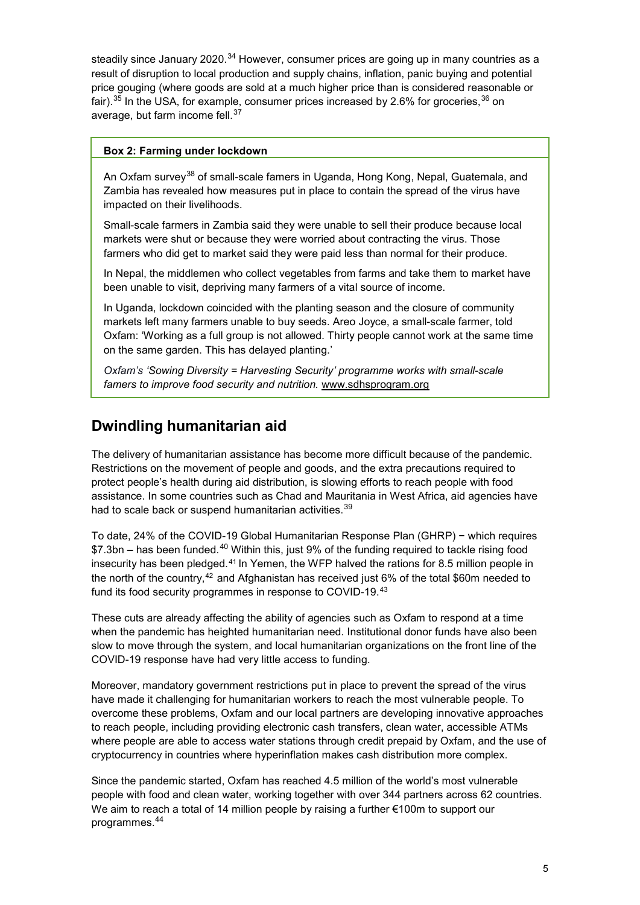steadily since January 2020.<sup>[34](#page-16-13)</sup> However, consumer prices are going up in many countries as a result of disruption to local production and supply chains, inflation, panic buying and potential price gouging (where goods are sold at a much higher price than is considered reasonable or fair). $^{35}$  $^{35}$  $^{35}$  In the USA, for example, consumer prices increased by 2.6% for groceries, $^{36}$  $^{36}$  $^{36}$  on average, but farm income fell.<sup>[37](#page-16-16)</sup>

#### **Box 2: Farming under lockdown**

An Oxfam survey<sup>[38](#page-16-17)</sup> of small-scale famers in Uganda, Hong Kong, Nepal, Guatemala, and Zambia has revealed how measures put in place to contain the spread of the virus have impacted on their livelihoods.

Small-scale farmers in Zambia said they were unable to sell their produce because local markets were shut or because they were worried about contracting the virus. Those farmers who did get to market said they were paid less than normal for their produce.

In Nepal, the middlemen who collect vegetables from farms and take them to market have been unable to visit, depriving many farmers of a vital source of income.

In Uganda, lockdown coincided with the planting season and the closure of community markets left many farmers unable to buy seeds. Areo Joyce, a small-scale farmer, told Oxfam: 'Working as a full group is not allowed. Thirty people cannot work at the same time on the same garden. This has delayed planting.'

*Oxfam's 'Sowing Diversity = Harvesting Security' programme works with small-scale famers to improve food security and nutrition.* www.sdhsprogram.org

## **Dwindling humanitarian aid**

The delivery of humanitarian assistance has become more difficult because of the pandemic. Restrictions on the movement of people and goods, and the extra precautions required to protect people's health during aid distribution, is slowing efforts to reach people with food assistance. In some countries such as Chad and Mauritania in West Africa, aid agencies have had to scale back or suspend humanitarian activities.<sup>39</sup>

To date, 24% of the COVID-19 Global Humanitarian Response Plan (GHRP) − which requires  $$7.3$ bn – has been funded.<sup>[40](#page-16-19)</sup> Within this, just 9% of the funding required to tackle rising food insecurity has been pledged.[41](#page-16-20) In Yemen, the WFP halved the rations for 8.5 million people in the north of the country,<sup>[42](#page-16-21)</sup> and Afghanistan has received just  $6\%$  of the total \$60m needed to fund its food security programmes in response to COVID-19.[43](#page-16-22)

These cuts are already affecting the ability of agencies such as Oxfam to respond at a time when the pandemic has heighted humanitarian need. Institutional donor funds have also been slow to move through the system, and local humanitarian organizations on the front line of the COVID-19 response have had very little access to funding.

Moreover, mandatory government restrictions put in place to prevent the spread of the virus have made it challenging for humanitarian workers to reach the most vulnerable people. To overcome these problems, Oxfam and our local partners are developing innovative approaches to reach people, including providing electronic cash transfers, clean water, accessible ATMs where people are able to access water stations through credit prepaid by Oxfam, and the use of cryptocurrency in countries where hyperinflation makes cash distribution more complex.

Since the pandemic started, Oxfam has reached 4.5 million of the world's most vulnerable people with food and clean water, working together with over 344 partners across 62 countries. We aim to reach a total of 14 million people by raising a further €100m to support our programmes. [44](#page-16-23)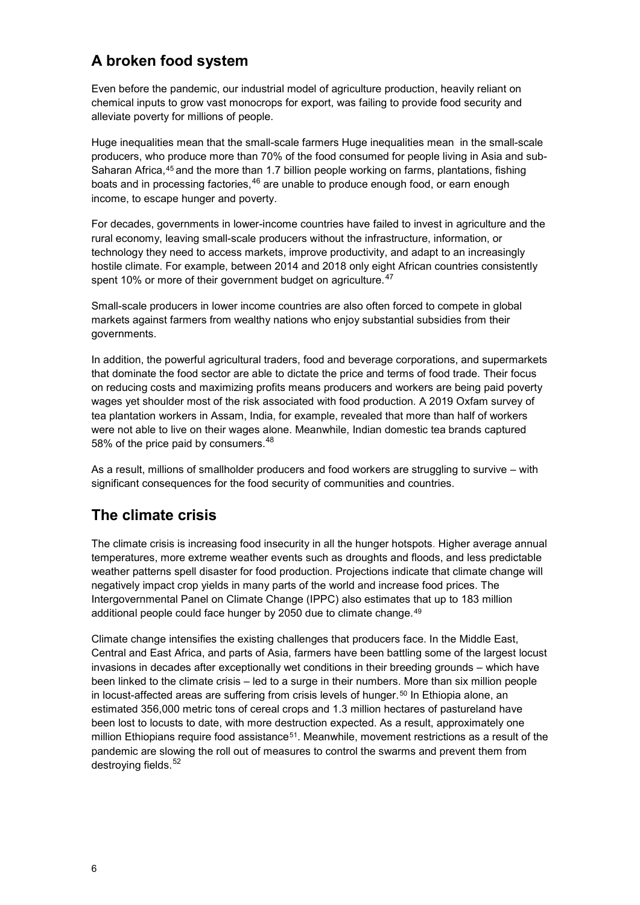## **A broken food system**

Even before the pandemic, our industrial model of agriculture production, heavily reliant on chemical inputs to grow vast monocrops for export, was failing to provide food security and alleviate poverty for millions of people.

Huge inequalities mean that the small-scale farmers Huge inequalities mean in the small-scale producers, who produce more than 70% of the food consumed for people living in Asia and sub-Saharan Africa,<sup>[45](#page-16-24)</sup> and the more than 1.7 billion people working on farms, plantations, fishing boats and in processing factories,<sup>[46](#page-16-25)</sup> are unable to produce enough food, or earn enough income, to escape hunger and poverty.

For decades, governments in lower-income countries have failed to invest in agriculture and the rural economy, leaving small-scale producers without the infrastructure, information, or technology they need to access markets, improve productivity, and adapt to an increasingly hostile climate. For example, between 2014 and 2018 only eight African countries consistently spent 10% or more of their government budget on agriculture.<sup>[47](#page-16-26)</sup>

Small-scale producers in lower income countries are also often forced to compete in global markets against farmers from wealthy nations who enjoy substantial subsidies from their governments.

In addition, the powerful agricultural traders, food and beverage corporations, and supermarkets that dominate the food sector are able to dictate the price and terms of food trade. Their focus on reducing costs and maximizing profits means producers and workers are being paid poverty wages yet shoulder most of the risk associated with food production. A 2019 Oxfam survey of tea plantation workers in Assam, India, for example, revealed that more than half of workers were not able to live on their wages alone. Meanwhile, Indian domestic tea brands captured 58% of the price paid by consumers.<sup>[48](#page-16-27)</sup>

As a result, millions of smallholder producers and food workers are struggling to survive – with significant consequences for the food security of communities and countries.

## **The climate crisis**

The climate crisis is increasing food insecurity in all the hunger hotspots. Higher average annual temperatures, more extreme weather events such as droughts and floods, and less predictable weather patterns spell disaster for food production. Projections indicate that climate change will negatively impact crop yields in many parts of the world and increase food prices. The Intergovernmental Panel on Climate Change (IPPC) also estimates that up to 183 million additional people could face hunger by 2050 due to climate change.<sup>[49](#page-16-28)</sup>

Climate change intensifies the existing challenges that producers face. In the Middle East, Central and East Africa, and parts of Asia, farmers have been battling some of the largest locust invasions in decades after exceptionally wet conditions in their breeding grounds – which have been linked to the climate crisis – led to a surge in their numbers. More than six million people in locust-affected areas are suffering from crisis levels of hunger.<sup>[50](#page-16-29)</sup> In Ethiopia alone, an estimated 356,000 metric tons of cereal crops and 1.3 million hectares of pastureland have been lost to locusts to date, with more destruction expected. As a result, approximately one million Ethiopians require food assistance<sup>51</sup>. Meanwhile, movement restrictions as a result of the pandemic are slowing the roll out of measures to control the swarms and prevent them from destroying fields. [52](#page-17-1)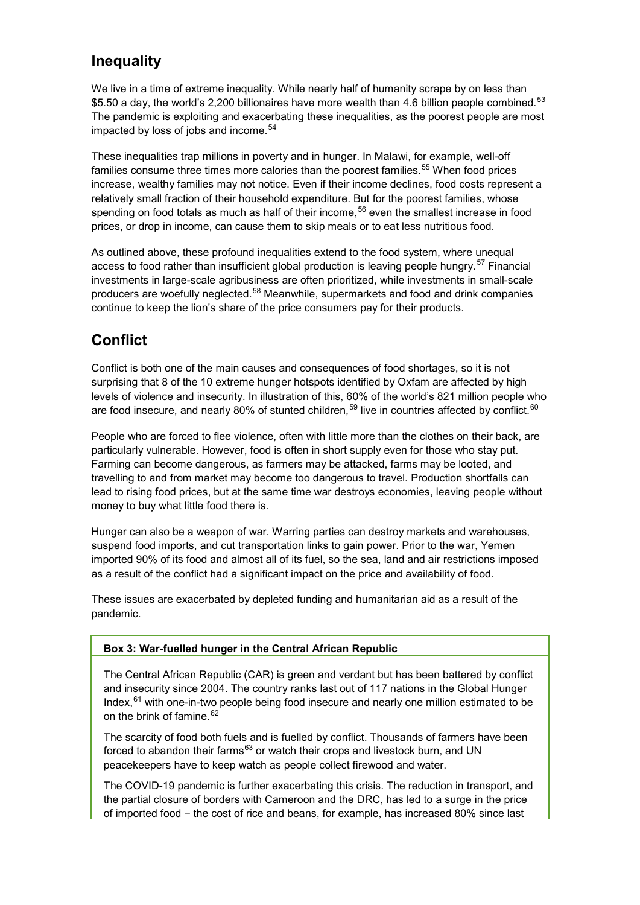## **Inequality**

We live in a time of extreme inequality. While nearly half of humanity scrape by on less than \$5.50 a day, the world's 2,200 billionaires have more wealth than 4.6 billion people combined.<sup>[53](#page-17-2)</sup> The pandemic is exploiting and exacerbating these inequalities, as the poorest people are most impacted by loss of jobs and income.<sup>[54](#page-17-3)</sup>

These inequalities trap millions in poverty and in hunger. In Malawi, for example, well-off families consume three times more calories than the poorest families.<sup>[55](#page-17-4)</sup> When food prices increase, wealthy families may not notice. Even if their income declines, food costs represent a relatively small fraction of their household expenditure. But for the poorest families, whose spending on food totals as much as half of their income, [56](#page-17-5) even the smallest increase in food prices, or drop in income, can cause them to skip meals or to eat less nutritious food.

As outlined above, these profound inequalities extend to the food system, where unequal access to food rather than insufficient global production is leaving people hungry.<sup>[57](#page-17-6)</sup> Financial investments in large-scale agribusiness are often prioritized, while investments in small-scale producers are woefully neglected.<sup>[58](#page-17-7)</sup> Meanwhile, supermarkets and food and drink companies continue to keep the lion's share of the price consumers pay for their products.

## **Conflict**

Conflict is both one of the main causes and consequences of food shortages, so it is not surprising that 8 of the 10 extreme hunger hotspots identified by Oxfam are affected by high levels of violence and insecurity. In illustration of this, 60% of the world's 821 million people who are food insecure, and nearly 80% of stunted children, $^{\rm 59}$  $^{\rm 59}$  $^{\rm 59}$  live in countries affected by conflict. $^{\rm 60}$  $^{\rm 60}$  $^{\rm 60}$ 

People who are forced to flee violence, often with little more than the clothes on their back, are particularly vulnerable. However, food is often in short supply even for those who stay put. Farming can become dangerous, as farmers may be attacked, farms may be looted, and travelling to and from market may become too dangerous to travel. Production shortfalls can lead to rising food prices, but at the same time war destroys economies, leaving people without money to buy what little food there is.

Hunger can also be a weapon of war. Warring parties can destroy markets and warehouses, suspend food imports, and cut transportation links to gain power. Prior to the war, Yemen imported 90% of its food and almost all of its fuel, so the sea, land and air restrictions imposed as a result of the conflict had a significant impact on the price and availability of food.

These issues are exacerbated by depleted funding and humanitarian aid as a result of the pandemic.

#### **Box 3: War-fuelled hunger in the Central African Republic**

The Central African Republic (CAR) is green and verdant but has been battered by conflict and insecurity since 2004. The country ranks last out of 117 nations in the Global Hunger Index,<sup>[61](#page-17-10)</sup> with one-in-two people being food insecure and nearly one million estimated to be on the brink of famine.<sup>[62](#page-17-11)</sup>

The scarcity of food both fuels and is fuelled by conflict. Thousands of farmers have been forced to abandon their farms<sup>[63](#page-17-12)</sup> or watch their crops and livestock burn, and UN peacekeepers have to keep watch as people collect firewood and water.

The COVID-19 pandemic is further exacerbating this crisis. The reduction in transport, and the partial closure of borders with Cameroon and the DRC, has led to a surge in the price of imported food − the cost of rice and beans, for example, has increased 80% since last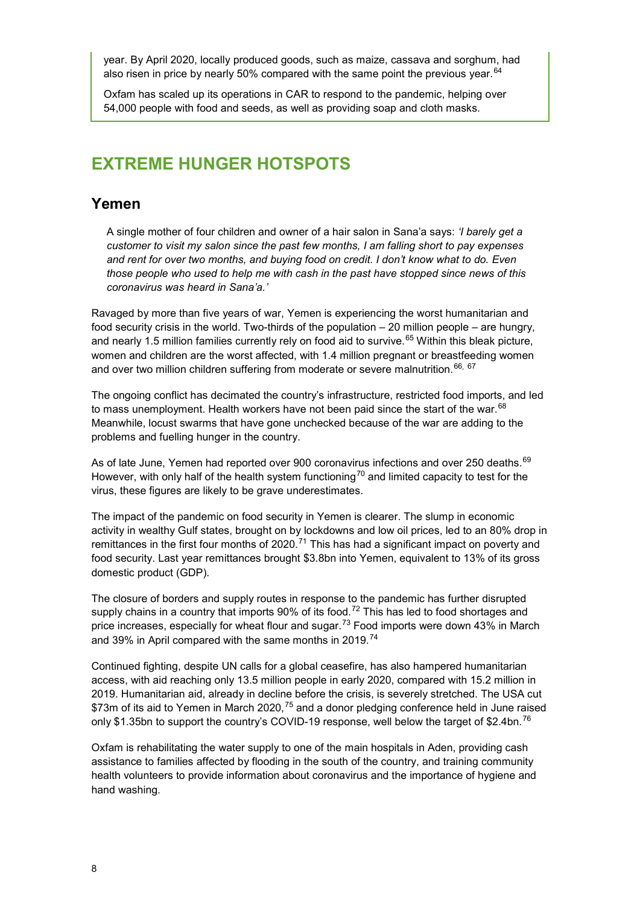year. By April 2020, locally produced goods, such as maize, cassava and sorghum, had also risen in price by nearly 50% compared with the same point the previous year.<sup>[64](#page-17-13)</sup>

Oxfam has scaled up its operations in CAR to respond to the pandemic, helping over 54,000 people with food and seeds, as well as providing soap and cloth masks.

## **EXTREME HUNGER HOTSPOTS**

#### **Yemen**

A single mother of four children and owner of a hair salon in Sana'a says: *'I barely get a customer to visit my salon since the past few months, I am falling short to pay expenses and rent for over two months, and buying food on credit. I don't know what to do. Even those people who used to help me with cash in the past have stopped since news of this coronavirus was heard in Sana'a.'*

Ravaged by more than five years of war, Yemen is experiencing the worst humanitarian and food security crisis in the world. Two-thirds of the population – 20 million people – are hungry, and nearly 1.5 million families currently rely on food aid to survive. [65](#page-17-14) Within this bleak picture, women and children are the worst affected, with 1.4 million pregnant or breastfeeding women and over two million children suffering from moderate or severe malnutrition. [66](#page-17-15), [67](#page-17-16)

The ongoing conflict has decimated the country's infrastructure, restricted food imports, and led to mass unemployment. Health workers have not been paid since the start of the war. $68$ Meanwhile, locust swarms that have gone unchecked because of the war are adding to the problems and fuelling hunger in the country.

As of late June, Yemen had reported over 900 coronavirus infections and over 250 deaths.<sup>[69](#page-17-18)</sup> However, with only half of the health system functioning<sup>[70](#page-17-19)</sup> and limited capacity to test for the virus, these figures are likely to be grave underestimates.

The impact of the pandemic on food security in Yemen is clearer. The slump in economic activity in wealthy Gulf states, brought on by lockdowns and low oil prices, led to an 80% drop in remittances in the first four months of 2020.<sup>[71](#page-17-20)</sup> This has had a significant impact on poverty and food security. Last year remittances brought \$3.8bn into Yemen, equivalent to 13% of its gross domestic product (GDP).

The closure of borders and supply routes in response to the pandemic has further disrupted supply chains in a country that imports  $90\%$  of its food.<sup>[72](#page-17-21)</sup> This has led to food shortages and price increases, especially for wheat flour and sugar.<sup>[73](#page-17-22)</sup> Food imports were down 43% in March and 39% in April compared with the same months in 2019.<sup>[74](#page-17-23)</sup>

Continued fighting, despite UN calls for a global ceasefire, has also hampered humanitarian access, with aid reaching only 13.5 million people in early 2020, compared with 15.2 million in 2019. Humanitarian aid, already in decline before the crisis, is severely stretched. The USA cut  $$73$ m of its aid to Yemen in March 2020, $^{75}$  $^{75}$  $^{75}$  and a donor pledging conference held in June raised only \$1.35bn to support the country's COVID-19 response, well below the target of \$2.4bn.<sup>[76](#page-17-25)</sup>

Oxfam is rehabilitating the water supply to one of the main hospitals in Aden, providing cash assistance to families affected by flooding in the south of the country, and training community health volunteers to provide information about coronavirus and the importance of hygiene and hand washing.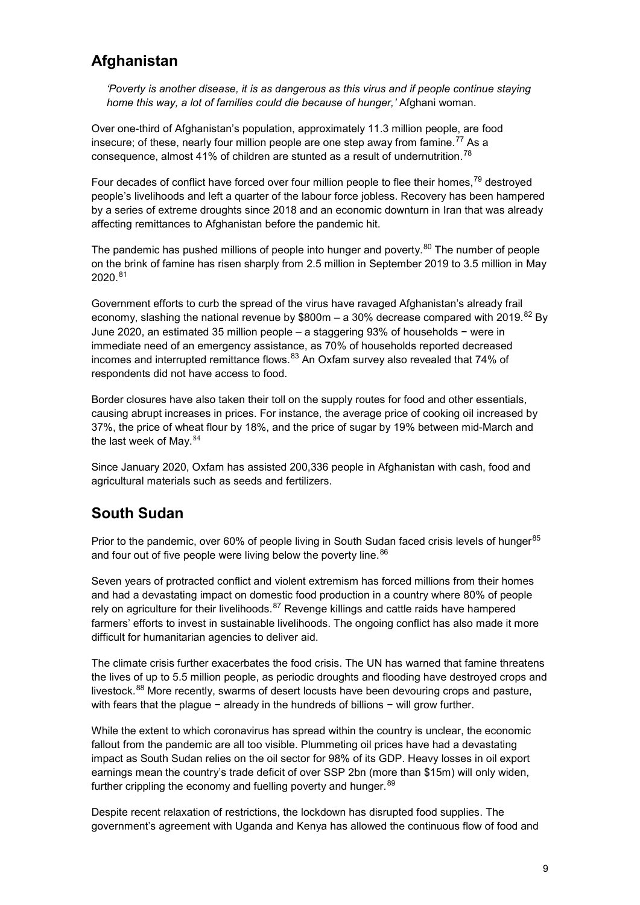## **Afghanistan**

*'Poverty is another disease, it is as dangerous as this virus and if people continue staying home this way, a lot of families could die because of hunger,'* Afghani woman.

Over one-third of Afghanistan's population, approximately 11.3 million people, are food insecure; of these, nearly four million people are one step away from famine. $^{77}$  $^{77}$  $^{77}$  As a consequence, almost 41% of children are stunted as a result of undernutrition.<sup>[78](#page-17-27)</sup>

Four decades of conflict have forced over four million people to flee their homes,<sup>[79](#page-17-28)</sup> destroyed people's livelihoods and left a quarter of the labour force jobless. Recovery has been hampered by a series of extreme droughts since 2018 and an economic downturn in Iran that was already affecting remittances to Afghanistan before the pandemic hit.

The pandemic has pushed millions of people into hunger and poverty.<sup>[80](#page-17-29)</sup> The number of people on the brink of famine has risen sharply from 2.5 million in September 2019 to 3.5 million in May 2020.[81](#page-17-30)

Government efforts to curb the spread of the virus have ravaged Afghanistan's already frail economy, slashing the national revenue by \$800m – a 30% decrease compared with 2019.<sup>[82](#page-17-31)</sup> By June 2020, an estimated 35 million people – a staggering 93% of households − were in immediate need of an emergency assistance, as 70% of households reported decreased incomes and interrupted remittance flows. $83$  An Oxfam survey also revealed that 74% of respondents did not have access to food.

Border closures have also taken their toll on the supply routes for food and other essentials, causing abrupt increases in prices. For instance, the average price of cooking oil increased by 37%, the price of wheat flour by 18%, and the price of sugar by 19% between mid-March and the last week of May.<sup>[84](#page-17-33)</sup>

Since January 2020, Oxfam has assisted 200,336 people in Afghanistan with cash, food and agricultural materials such as seeds and fertilizers.

## **South Sudan**

Prior to the pandemic, over 60% of people living in South Sudan faced crisis levels of hunger<sup>[85](#page-17-34)</sup> and four out of five people were living below the poverty line.  $86$ 

Seven years of protracted conflict and violent extremism has forced millions from their homes and had a devastating impact on domestic food production in a country where 80% of people rely on agriculture for their livelihoods.<sup>87</sup> Revenge killings and cattle raids have hampered farmers' efforts to invest in sustainable livelihoods. The ongoing conflict has also made it more difficult for humanitarian agencies to deliver aid.

The climate crisis further exacerbates the food crisis. The UN has warned that famine threatens the lives of up to 5.5 million people, as periodic droughts and flooding have destroyed crops and livestock.<sup>[88](#page-18-2)</sup> More recently, swarms of desert locusts have been devouring crops and pasture, with fears that the plague − already in the hundreds of billions − will grow further.

While the extent to which coronavirus has spread within the country is unclear, the economic fallout from the pandemic are all too visible. Plummeting oil prices have had a devastating impact as South Sudan relies on the oil sector for 98% of its GDP. Heavy losses in oil export earnings mean the country's trade deficit of over SSP 2bn (more than \$15m) will only widen, further crippling the economy and fuelling poverty and hunger.<sup>89</sup>

Despite recent relaxation of restrictions, the lockdown has disrupted food supplies. The government's agreement with Uganda and Kenya has allowed the continuous flow of food and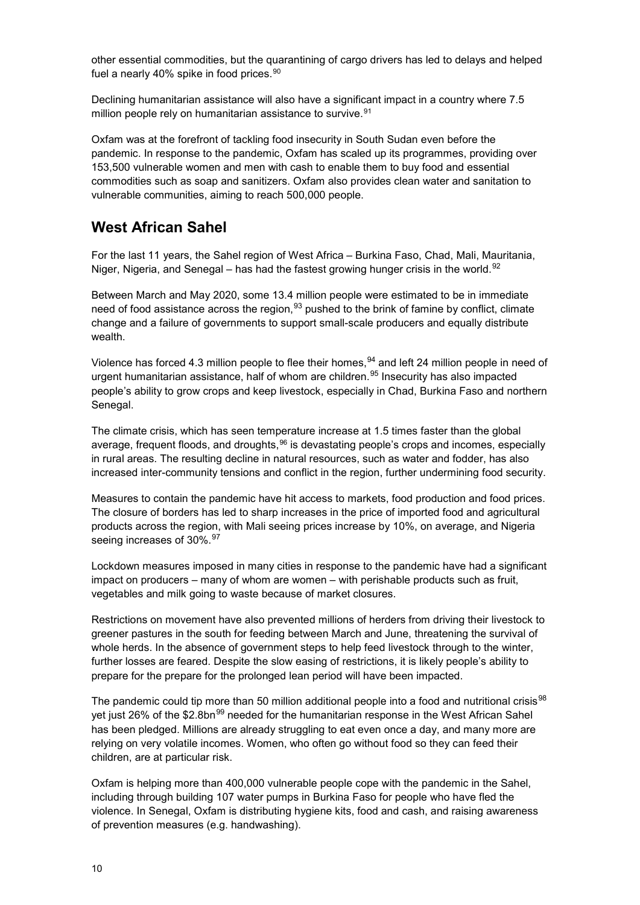other essential commodities, but the quarantining of cargo drivers has led to delays and helped fuel a nearly 40% spike in food prices.<sup>[90](#page-18-4)</sup>

Declining humanitarian assistance will also have a significant impact in a country where 7.5 million people rely on humanitarian assistance to survive.<sup>91</sup>

Oxfam was at the forefront of tackling food insecurity in South Sudan even before the pandemic. In response to the pandemic, Oxfam has scaled up its programmes, providing over 153,500 vulnerable women and men with cash to enable them to buy food and essential commodities such as soap and sanitizers. Oxfam also provides clean water and sanitation to vulnerable communities, aiming to reach 500,000 people.

## **West African Sahel**

For the last 11 years, the Sahel region of West Africa – Burkina Faso, Chad, Mali, Mauritania, Niger, Nigeria, and Senegal – has had the fastest growing hunger crisis in the world.<sup>[92](#page-18-6)</sup>

Between March and May 2020, some 13.4 million people were estimated to be in immediate need of food assistance across the region,<sup>[93](#page-18-7)</sup> pushed to the brink of famine by conflict, climate change and a failure of governments to support small-scale producers and equally distribute wealth.

Violence has forced 4.3 million people to flee their homes, $^{94}$  $^{94}$  $^{94}$  and left 24 million people in need of urgent humanitarian assistance, half of whom are children. [95](#page-18-9) Insecurity has also impacted people's ability to grow crops and keep livestock, especially in Chad, Burkina Faso and northern Senegal.

The climate crisis, which has seen temperature increase at 1.5 times faster than the global average, frequent floods, and droughts, <sup>[96](#page-18-10)</sup> is devastating people's crops and incomes, especially in rural areas. The resulting decline in natural resources, such as water and fodder, has also increased inter-community tensions and conflict in the region, further undermining food security.

Measures to contain the pandemic have hit access to markets, food production and food prices. The closure of borders has led to sharp increases in the price of imported food and agricultural products across the region, with Mali seeing prices increase by 10%, on average, and Nigeria seeing increases of 30%.<sup>97</sup>

Lockdown measures imposed in many cities in response to the pandemic have had a significant impact on producers – many of whom are women – with perishable products such as fruit, vegetables and milk going to waste because of market closures.

Restrictions on movement have also prevented millions of herders from driving their livestock to greener pastures in the south for feeding between March and June, threatening the survival of whole herds. In the absence of government steps to help feed livestock through to the winter, further losses are feared. Despite the slow easing of restrictions, it is likely people's ability to prepare for the prepare for the prolonged lean period will have been impacted.

The pandemic could tip more than 50 million additional people into a food and nutritional crisis<sup>[98](#page-18-12)</sup> yet just 26% of the \$2.8bn<sup>[99](#page-18-13)</sup> needed for the humanitarian response in the West African Sahel has been pledged. Millions are already struggling to eat even once a day, and many more are relying on very volatile incomes. Women, who often go without food so they can feed their children, are at particular risk.

Oxfam is helping more than 400,000 vulnerable people cope with the pandemic in the Sahel, including through building 107 water pumps in Burkina Faso for people who have fled the violence. In Senegal, Oxfam is distributing hygiene kits, food and cash, and raising awareness of prevention measures (e.g. handwashing).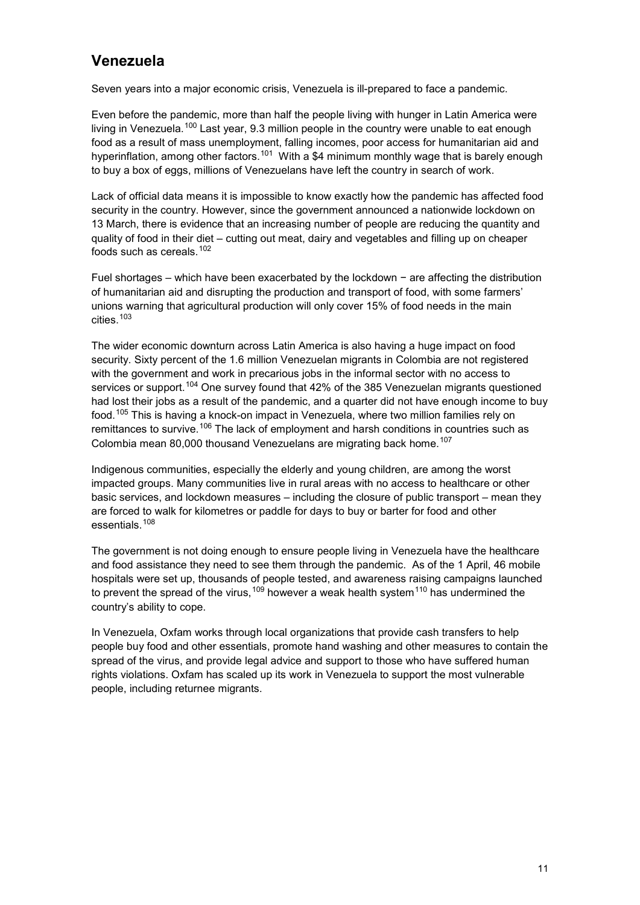## **Venezuela**

Seven years into a major economic crisis, Venezuela is ill-prepared to face a pandemic.

Even before the pandemic, more than half the people living with hunger in Latin America were living in Venezuela.<sup>[100](#page-18-14)</sup> Last year, 9.3 million people in the country were unable to eat enough food as a result of mass unemployment, falling incomes, poor access for humanitarian aid and hyperinflation, among other factors.<sup>101</sup> With a \$4 minimum monthly wage that is barely enough to buy a box of eggs, millions of Venezuelans have left the country in search of work.

Lack of official data means it is impossible to know exactly how the pandemic has affected food security in the country. However, since the government announced a nationwide lockdown on 13 March, there is evidence that an increasing number of people are reducing the quantity and quality of food in their diet – cutting out meat, dairy and vegetables and filling up on cheaper foods such as cereals. [102](#page-18-16) 

Fuel shortages – which have been exacerbated by the lockdown − are affecting the distribution of humanitarian aid and disrupting the production and transport of food, with some farmers' unions warning that agricultural production will only cover 15% of food needs in the main cities. [103](#page-18-17) 

The wider economic downturn across Latin America is also having a huge impact on food security. Sixty percent of the 1.6 million Venezuelan migrants in Colombia are not registered with the government and work in precarious jobs in the informal sector with no access to services or support.<sup>[104](#page-18-18)</sup> One survey found that 42% of the 385 Venezuelan migrants questioned had lost their jobs as a result of the pandemic, and a quarter did not have enough income to buy food. [105](#page-18-19) This is having a knock-on impact in Venezuela, where two million families rely on remittances to survive.<sup>[106](#page-18-20)</sup> The lack of employment and harsh conditions in countries such as Colombia mean 80,000 thousand Venezuelans are migrating back home.<sup>107</sup>

Indigenous communities, especially the elderly and young children, are among the worst impacted groups. Many communities live in rural areas with no access to healthcare or other basic services, and lockdown measures – including the closure of public transport – mean they are forced to walk for kilometres or paddle for days to buy or barter for food and other essentials.[108](#page-18-22)

The government is not doing enough to ensure people living in Venezuela have the healthcare and food assistance they need to see them through the pandemic. As of the 1 April, 46 mobile hospitals were set up, thousands of people tested, and awareness raising campaigns launched to prevent the spread of the virus,  $109$  however a weak health system<sup>[110](#page-18-24)</sup> has undermined the country's ability to cope.

In Venezuela, Oxfam works through local organizations that provide cash transfers to help people buy food and other essentials, promote hand washing and other measures to contain the spread of the virus, and provide legal advice and support to those who have suffered human rights violations. Oxfam has scaled up its work in Venezuela to support the most vulnerable people, including returnee migrants.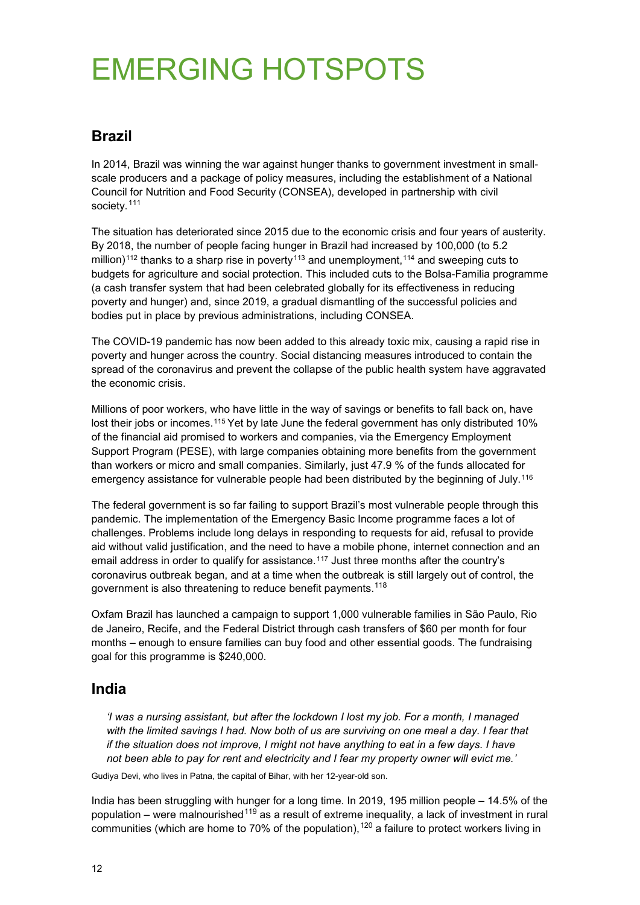# EMERGING HOTSPOTS

## **Brazil**

In 2014, Brazil was winning the war against hunger thanks to government investment in smallscale producers and a package of policy measures, including the establishment of a National Council for Nutrition and Food Security (CONSEA), developed in partnership with civil society.<sup>[111](#page-18-25)</sup>

The situation has deteriorated since 2015 due to the economic crisis and four years of austerity. By 2018, the number of people facing hunger in Brazil had increased by 100,000 (to 5.2 million)<sup>[112](#page-18-26)</sup> thanks to a sharp rise in poverty<sup>[113](#page-18-27)</sup> and unemployment,<sup>[114](#page-18-28)</sup> and sweeping cuts to budgets for agriculture and social protection. This included cuts to the Bolsa-Familia programme (a cash transfer system that had been celebrated globally for its effectiveness in reducing poverty and hunger) and, since 2019, a gradual dismantling of the successful policies and bodies put in place by previous administrations, including CONSEA.

The COVID-19 pandemic has now been added to this already toxic mix, causing a rapid rise in poverty and hunger across the country. Social distancing measures introduced to contain the spread of the coronavirus and prevent the collapse of the public health system have aggravated the economic crisis.

Millions of poor workers, who have little in the way of savings or benefits to fall back on, have lost their jobs or incomes.<sup>[115](#page-18-29)</sup> Yet by late June the federal government has only distributed 10% of the financial aid promised to workers and companies, via the Emergency Employment Support Program (PESE), with large companies obtaining more benefits from the government than workers or micro and small companies. Similarly, just 47.9 % of the funds allocated for emergency assistance for vulnerable people had been distributed by the beginning of July.<sup>[116](#page-18-30)</sup>

The federal government is so far failing to support Brazil's most vulnerable people through this pandemic. The implementation of the Emergency Basic Income programme faces a lot of challenges. Problems include long delays in responding to requests for aid, refusal to provide aid without valid justification, and the need to have a mobile phone, internet connection and an email address in order to qualify for assistance.<sup>[117](#page-18-31)</sup> Just three months after the country's coronavirus outbreak began, and at a time when the outbreak is still largely out of control, the government is also threatening to reduce benefit payments.<sup>[118](#page-18-32)</sup>

Oxfam Brazil has launched a campaign to support 1,000 vulnerable families in São Paulo, Rio de Janeiro, Recife, and the Federal District through cash transfers of \$60 per month for four months – enough to ensure families can buy food and other essential goods. The fundraising goal for this programme is \$240,000.

## **India**

*'I was a nursing assistant, but after the lockdown I lost my job. For a month, I managed with the limited savings I had. Now both of us are surviving on one meal a day. I fear that if the situation does not improve, I might not have anything to eat in a few days. I have not been able to pay for rent and electricity and I fear my property owner will evict me.'* 

Gudiya Devi, who lives in Patna, the capital of Bihar, with her 12-year-old son.

India has been struggling with hunger for a long time. In 2019, 195 million people – 14.5% of the population – were malnourished  $119$  as a result of extreme inequality, a lack of investment in rural communities (which are home to 70% of the population),  $120$  a failure to protect workers living in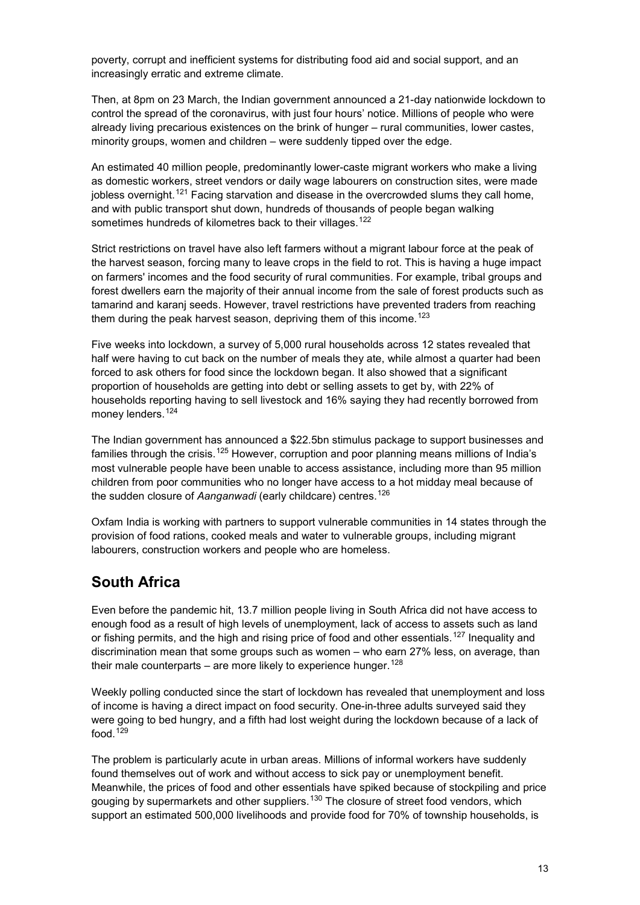poverty, corrupt and inefficient systems for distributing food aid and social support, and an increasingly erratic and extreme climate.

Then, at 8pm on 23 March, the Indian government announced a 21-day nationwide lockdown to control the spread of the coronavirus, with just four hours' notice. Millions of people who were already living precarious existences on the brink of hunger – rural communities, lower castes, minority groups, women and children – were suddenly tipped over the edge.

An estimated 40 million people, predominantly lower-caste migrant workers who make a living as domestic workers, street vendors or daily wage labourers on construction sites, were made jobless overnight.<sup>[121](#page-19-2)</sup> Facing starvation and disease in the overcrowded slums they call home, and with public transport shut down, hundreds of thousands of people began walking sometimes hundreds of kilometres back to their villages.<sup>[122](#page-19-3)</sup>

Strict restrictions on travel have also left farmers without a migrant labour force at the peak of the harvest season, forcing many to leave crops in the field to rot. This is having a huge impact on farmers' incomes and the food security of rural communities. For example, tribal groups and forest dwellers earn the majority of their annual income from the sale of forest products such as tamarind and karanj seeds. However, travel restrictions have prevented traders from reaching them during the peak harvest season, depriving them of this income.<sup>[123](#page-19-4)</sup>

Five weeks into lockdown, a survey of 5,000 rural households across 12 states revealed that half were having to cut back on the number of meals they ate, while almost a quarter had been forced to ask others for food since the lockdown began. It also showed that a significant proportion of households are getting into debt or selling assets to get by, with 22% of households reporting having to sell livestock and 16% saying they had recently borrowed from money lenders. <sup>[124](#page-19-5)</sup>

The Indian government has announced a \$22.5bn stimulus package to support businesses and families through the crisis.<sup>[125](#page-19-6)</sup> However, corruption and poor planning means millions of India's most vulnerable people have been unable to access assistance, including more than 95 million children from poor communities who no longer have access to a hot midday meal because of the sudden closure of *Aanganwadi* (early childcare) centres. [126](#page-19-7) 

Oxfam India is working with partners to support vulnerable communities in 14 states through the provision of food rations, cooked meals and water to vulnerable groups, including migrant labourers, construction workers and people who are homeless.

## **South Africa**

Even before the pandemic hit, 13.7 million people living in South Africa did not have access to enough food as a result of high levels of unemployment, lack of access to assets such as land or fishing permits, and the high and rising price of food and other essentials.<sup>[127](#page-19-8)</sup> Inequality and discrimination mean that some groups such as women – who earn 27% less, on average, than their male counterparts – are more likely to experience hunger.  $128$ 

Weekly polling conducted since the start of lockdown has revealed that unemployment and loss of income is having a direct impact on food security. One-in-three adults surveyed said they were going to bed hungry, and a fifth had lost weight during the lockdown because of a lack of food. $129$ 

The problem is particularly acute in urban areas. Millions of informal workers have suddenly found themselves out of work and without access to sick pay or unemployment benefit. Meanwhile, the prices of food and other essentials have spiked because of stockpiling and price gouging by supermarkets and other suppliers.<sup>[130](#page-19-11)</sup> The closure of street food vendors, which support an estimated 500,000 livelihoods and provide food for 70% of township households, is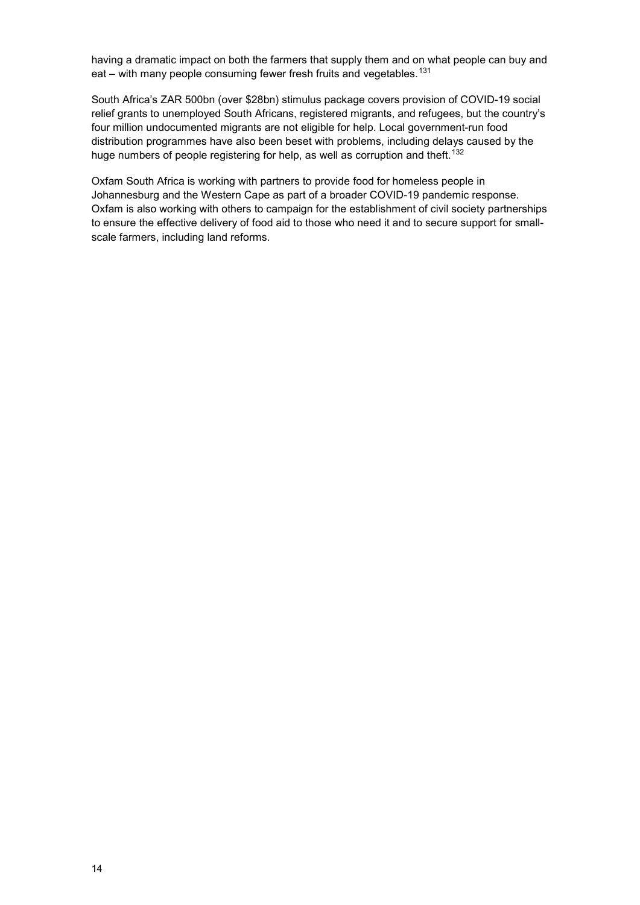having a dramatic impact on both the farmers that supply them and on what people can buy and eat – with many people consuming fewer fresh fruits and vegetables.<sup>[131](#page-19-12)</sup>

South Africa's ZAR 500bn (over \$28bn) stimulus package covers provision of COVID-19 social relief grants to unemployed South Africans, registered migrants, and refugees, but the country's four million undocumented migrants are not eligible for help. Local government-run food distribution programmes have also been beset with problems, including delays caused by the huge numbers of people registering for help, as well as corruption and theft.<sup>132</sup>

Oxfam South Africa is working with partners to provide food for homeless people in Johannesburg and the Western Cape as part of a broader COVID-19 pandemic response. Oxfam is also working with others to campaign for the establishment of civil society partnerships to ensure the effective delivery of food aid to those who need it and to secure support for smallscale farmers, including land reforms.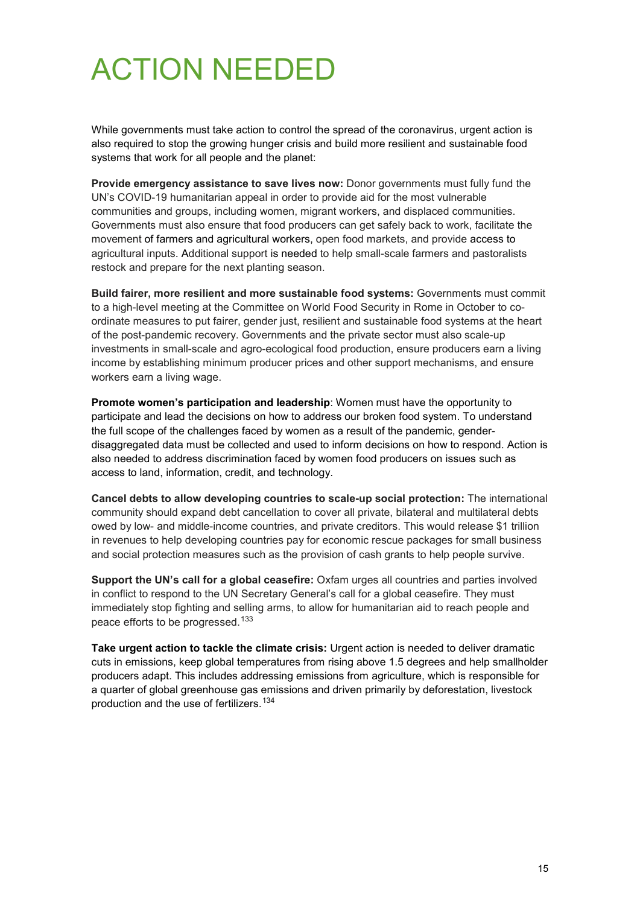# ACTION NEEDED

While governments must take action to control the spread of the coronavirus, urgent action is also required to stop the growing hunger crisis and build more resilient and sustainable food systems that work for all people and the planet:

**Provide emergency assistance to save lives now:** Donor governments must fully fund the UN's COVID-19 humanitarian appeal in order to provide aid for the most vulnerable communities and groups, including women, migrant workers, and displaced communities. Governments must also ensure that food producers can get safely back to work, facilitate the movement of farmers and agricultural workers, open food markets, and provide access to agricultural inputs. Additional support is needed to help small-scale farmers and pastoralists restock and prepare for the next planting season.

**Build fairer, more resilient and more sustainable food systems:** Governments must commit to a high-level meeting at the Committee on World Food Security in Rome in October to coordinate measures to put fairer, gender just, resilient and sustainable food systems at the heart of the post-pandemic recovery. Governments and the private sector must also scale-up investments in small-scale and agro-ecological food production, ensure producers earn a living income by establishing minimum producer prices and other support mechanisms, and ensure workers earn a living wage.

**Promote women's participation and leadership**: Women must have the opportunity to participate and lead the decisions on how to address our broken food system. To understand the full scope of the challenges faced by women as a result of the pandemic, genderdisaggregated data must be collected and used to inform decisions on how to respond. Action is also needed to address discrimination faced by women food producers on issues such as access to land, information, credit, and technology.

**Cancel debts to allow developing countries to scale-up social protection:** The international community should expand debt cancellation to cover all private, bilateral and multilateral debts owed by low- and middle-income countries, and private creditors. This would release \$1 trillion in revenues to help developing countries pay for economic rescue packages for small business and social protection measures such as the provision of cash grants to help people survive.

**Support the UN's call for a global ceasefire:** Oxfam urges all countries and parties involved in conflict to respond to the UN Secretary General's call for a global ceasefire. They must immediately stop fighting and selling arms, to allow for humanitarian aid to reach people and peace efforts to be progressed.<sup>[133](#page-19-14)</sup>

**Take urgent action to tackle the climate crisis:** Urgent action is needed to deliver dramatic cuts in emissions, keep global temperatures from rising above 1.5 degrees and help smallholder producers adapt. This includes addressing emissions from agriculture, which is responsible for a quarter of global greenhouse gas emissions and driven primarily by deforestation, livestock production and the use of fertilizers.<sup>[134](#page-19-15)</sup>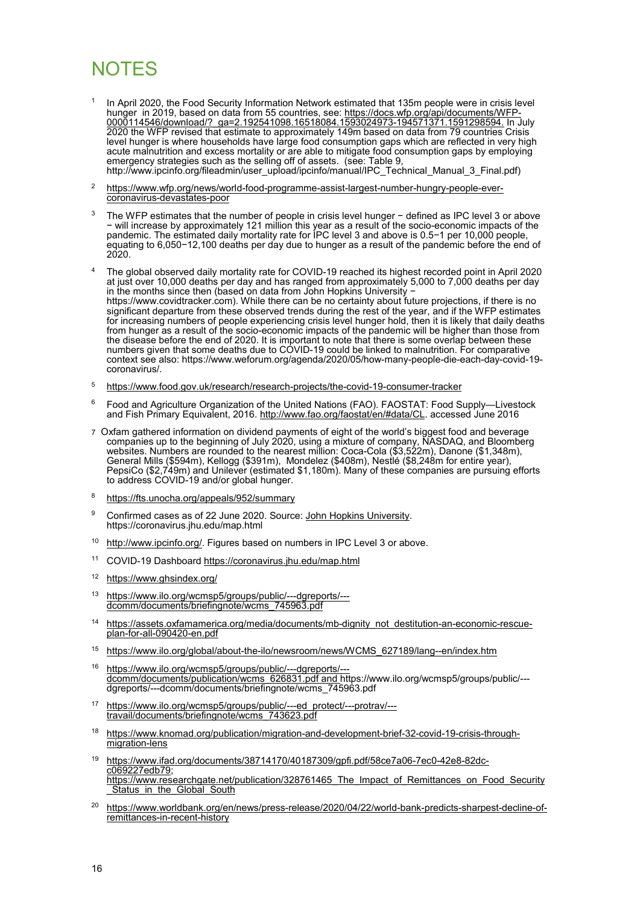## **NOTES**

- <span id="page-15-0"></span>In April 2020, the Food Security Information Network estimated that 135m people were in crisis level hunger in 2019, based on data from 55 countries, see: <u>https://docs.wfp.org/api/documents/WFP-</u> [0000114546/download/?\\_ga=2.192541098.16518084.1593024973-194571371.1591298594.](https://docs.wfp.org/api/documents/WFP-0000114546/download/?_ga=2.192541098.16518084.1593024973-194571371.1591298594) In July 2020 the WFP revised that estimate to approximately 149m based on data from 79 countries Crisis level hunger is where households have large food consumption gaps which are reflected in very high acute malnutrition and excess mortality or are able to mitigate food consumption gaps by employing emergency strategies such as the selling off of assets. (see: Table 9, http://www.ipcinfo.org/fileadmin/user\_upload/ipcinfo/manual/IPC\_Technical\_Manual\_3\_Final.pdf)
- <span id="page-15-1"></span>2 [https://www.wfp.org/news/world-food-programme-assist-largest-number-hungry-people-ever-](https://www.wfp.org/news/world-food-programme-assist-largest-number-hungry-people-ever-coronavirus-devastates-poor) [coronavirus-devastates-poor](https://www.wfp.org/news/world-food-programme-assist-largest-number-hungry-people-ever-coronavirus-devastates-poor)
- <span id="page-15-2"></span>3 The WFP estimates that the number of people in crisis level hunger − defined as IPC level 3 or above − will increase by approximately 121 million this year as a result of the socio-economic impacts of the pandemic. The estimated daily mortality rate for IPC level 3 and above is 0.5−1 per 10,000 people, equating to 6,050−12,100 deaths per day due to hunger as a result of the pandemic before the end of 2020.
- <span id="page-15-3"></span>4 The global observed daily mortality rate for COVID-19 reached its highest recorded point in April 2020 at just over 10,000 deaths per day and has ranged from approximately 5,000 to 7,000 deaths per day in the months since then (based on data from John Hopkins University − [https://www.covidtracker.com\)](https://www.covidtracker.com/). While there can be no certainty about future projections, if there is no significant departure from these observed trends during the rest of the year, and if the WFP estimates for increasing numbers of people experiencing crisis level hunger hold, then it is likely that daily deaths from hunger as a result of the socio-economic impacts of the pandemic will be higher than those from the disease before the end of 2020. It is important to note that there is some overlap between these numbers given that some deaths due to COVID-19 could be linked to malnutrition. For comparative context see also: [https://www.weforum.org/agenda/2020/05/how-many-people-die-each-day-covid-19](https://www.weforum.org/agenda/2020/05/how-many-people-die-each-day-covid-19-coronavirus/) [coronavirus/.](https://www.weforum.org/agenda/2020/05/how-many-people-die-each-day-covid-19-coronavirus/)
- <span id="page-15-4"></span>5 <https://www.food.gov.uk/research/research-projects/the-covid-19-consumer-tracker>
- <span id="page-15-5"></span>6 Food and Agriculture Organization of the United Nations (FAO). FAOSTAT: Food Supply—Livestock and Fish Primary Equivalent, 2016. [http://www.fao.org/faostat/en/#data/CL.](http://www.fao.org/faostat/en/#data/CL) accessed June 2016
- <span id="page-15-6"></span>7 Oxfam gathered information on dividend payments of eight of the world's biggest food and beverage companies up to the beginning of July 2020, using a mixture of company, NASDAQ, and Bloomberg websites. Numbers are rounded to the nearest million: Coca-Cola (\$3,522m), Danone (\$1,348m), General Mills (\$594m), Kellogg (\$391m), Mondelez (\$408m), Nestlé (\$8,248m for entire year), PepsiCo (\$2,749m) and Unilever (estimated \$1,180m). Many of these companies are pursuing efforts to address COVID-19 and/or global hunger.
- <span id="page-15-7"></span>8 <https://fts.unocha.org/appeals/952/summary>
- <span id="page-15-8"></span><sup>9</sup> Confirmed cases as of 22 June 2020. Source: [John Hopkins University.](https://coronavirus.jhu.edu/map.html) https://coronavirus.jhu.edu/map.html
- <span id="page-15-9"></span>10 [http://www.ipcinfo.org/.](http://www.ipcinfo.org/) Figures based on numbers in IPC Level 3 or above.
- <span id="page-15-10"></span>11 COVID-19 Dashboard<https://coronavirus.jhu.edu/map.html>
- <span id="page-15-11"></span>12 <https://www.ghsindex.org/>
- <span id="page-15-12"></span>13 [https://www.ilo.org/wcmsp5/groups/public/---dgreports/--](https://www.ilo.org/wcmsp5/groups/public/---dgreports/---dcomm/documents/briefingnote/wcms_745963.pdf) [dcomm/documents/briefingnote/wcms\\_745963.pdf](https://www.ilo.org/wcmsp5/groups/public/---dgreports/---dcomm/documents/briefingnote/wcms_745963.pdf)
- <span id="page-15-13"></span>14 https://assets.oxfamamerica.org/media/documents/mb-dignity not destitution-an-economic-rescue- plan-for-all-090420-en.pdf
- <span id="page-15-14"></span>15 [https://www.ilo.org/global/about-the-ilo/newsroom/news/WCMS\\_627189/lang--en/index.htm](https://www.ilo.org/global/about-the-ilo/newsroom/news/WCMS_627189/lang--en/index.htm)
- <span id="page-15-15"></span>16 [https://www.ilo.org/wcmsp5/groups/public/---dgreports/--](https://www.ilo.org/wcmsp5/groups/public/---dgreports/---dcomm/documents/publication/wcms_626831.pdf) [dcomm/documents/publication/wcms\\_626831.pdf](https://www.ilo.org/wcmsp5/groups/public/---dgreports/---dcomm/documents/publication/wcms_626831.pdf) an[d https://www.ilo.org/wcmsp5/groups/public/--](https://www.ilo.org/wcmsp5/groups/public/---dgreports/---dcomm/documents/briefingnote/wcms_745963.pdf) [dgreports/---dcomm/documents/briefingnote/wcms\\_745963.pdf](https://www.ilo.org/wcmsp5/groups/public/---dgreports/---dcomm/documents/briefingnote/wcms_745963.pdf)
- <span id="page-15-16"></span>17 [https://www.ilo.org/wcmsp5/groups/public/---ed\\_protect/---protrav/--](https://www.ilo.org/wcmsp5/groups/public/---ed_protect/---protrav/---travail/documents/briefingnote/wcms_743623.pdf) [travail/documents/briefingnote/wcms\\_743623.pdf](https://www.ilo.org/wcmsp5/groups/public/---ed_protect/---protrav/---travail/documents/briefingnote/wcms_743623.pdf)
- <span id="page-15-17"></span>18 [https://www.knomad.org/publication/migration-and-development-brief-32-covid-19-crisis-through-](https://www.knomad.org/publication/migration-and-development-brief-32-covid-19-crisis-through-migration-lens) [migration-lens](https://www.knomad.org/publication/migration-and-development-brief-32-covid-19-crisis-through-migration-lens)
- <span id="page-15-18"></span>19 [https://www.ifad.org/documents/38714170/40187309/gpfi.pdf/58ce7a06-7ec0-42e8-82dc-](https://www.ifad.org/documents/38714170/40187309/gpfi.pdf/58ce7a06-7ec0-42e8-82dc-c069227edb79) [c069227edb79;](https://www.ifad.org/documents/38714170/40187309/gpfi.pdf/58ce7a06-7ec0-42e8-82dc-c069227edb79) [https://www.researchgate.net/publication/328761465\\_The\\_Impact\\_of\\_Remittances\\_on\\_Food\\_Security](https://www.researchgate.net/publication/328761465_The_Impact_of_Remittances_on_Food_Security_Status_in_the_Global_South) <u>[\\_Status\\_in\\_the\\_Global\\_South](https://www.researchgate.net/publication/328761465_The_Impact_of_Remittances_on_Food_Security_Status_in_the_Global_South)</u>
- <span id="page-15-19"></span>20 [https://www.worldbank.org/en/news/press-release/2020/04/22/world-bank-predicts-sharpest-decline-of](https://www.worldbank.org/en/news/press-release/2020/04/22/world-bank-predicts-sharpest-decline-of-remittances-in-recent-history)[remittances-in-recent-history](https://www.worldbank.org/en/news/press-release/2020/04/22/world-bank-predicts-sharpest-decline-of-remittances-in-recent-history)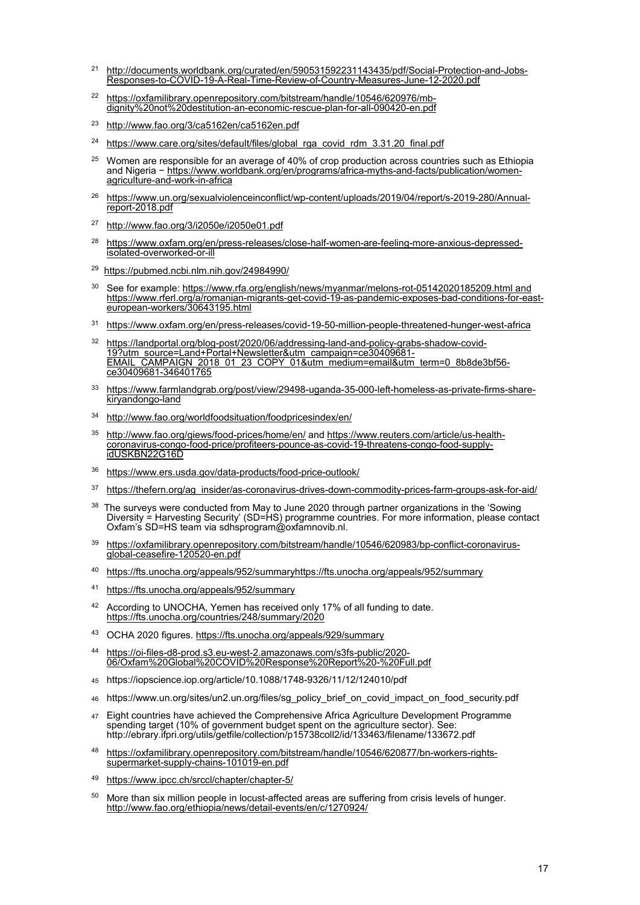- <span id="page-16-0"></span><sup>21</sup> [http://documents.worldbank.org/curated/en/590531592231143435/pdf/Social-Protection-and-Jobs-](http://documents.worldbank.org/curated/en/590531592231143435/pdf/Social-Protection-and-Jobs-Responses-to-COVID-19-A-Real-Time-Review-of-Country-Measures-June-12-2020.pdf)[Responses-to-COVID-19-A-Real-Time-Review-of-Country-Measures-June-12-2020.pdf](http://documents.worldbank.org/curated/en/590531592231143435/pdf/Social-Protection-and-Jobs-Responses-to-COVID-19-A-Real-Time-Review-of-Country-Measures-June-12-2020.pdf)
- <span id="page-16-1"></span>22 https://oxfamilibrary.openrepository.com/bitstream/handle/10546/620976/mbdignity%20not%20destitution-an-economic-rescue-plan-for-all-090420-en.pdf
- <span id="page-16-2"></span>23 <http://www.fao.org/3/ca5162en/ca5162en.pdf>
- <span id="page-16-3"></span><sup>24</sup> [https://www.care.org/sites/default/files/global\\_rga\\_covid\\_rdm\\_3.31.20\\_final.pdf](https://www.care.org/sites/default/files/global_rga_covid_rdm_3.31.20_final.pdf)
- <span id="page-16-4"></span> $25$  Women are responsible for an average of 40% of crop production across countries such as Ethiopia and Nigeria − [https://www.worldbank.org/en/programs/africa-myths-and-facts/publication/women](https://www.worldbank.org/en/programs/africa-myths-and-facts/publication/women-agriculture-and-work-in-africa)[agriculture-and-work-in-africa](https://www.worldbank.org/en/programs/africa-myths-and-facts/publication/women-agriculture-and-work-in-africa)
- <span id="page-16-5"></span><sup>26</sup> [https://www.un.org/sexualviolenceinconflict/wp-content/uploads/2019/04/report/s-2019-280/Annual-](https://www.un.org/sexualviolenceinconflict/wp-content/uploads/2019/04/report/s-2019-280/Annual-report-2018.pdf)<br>[report-2018.pdf](https://www.un.org/sexualviolenceinconflict/wp-content/uploads/2019/04/report/s-2019-280/Annual-report-2018.pdf)
- <span id="page-16-6"></span>27 <http://www.fao.org/3/i2050e/i2050e01.pdf>
- <span id="page-16-7"></span>28 [https://www.oxfam.org/en/press-releases/close-half-women-are-feeling-more-anxious-depressed](https://www.oxfam.org/en/press-releases/close-half-women-are-feeling-more-anxious-depressed-isolated-overworked-or-ill)[isolated-overworked-or-ill](https://www.oxfam.org/en/press-releases/close-half-women-are-feeling-more-anxious-depressed-isolated-overworked-or-ill)
- <span id="page-16-8"></span>29<https://pubmed.ncbi.nlm.nih.gov/24984990/>
- <span id="page-16-9"></span><sup>30</sup> See for example: [https://www.rfa.org/english/news/myanmar/melons-rot-05142020185209.html](https://eur01.safelinks.protection.outlook.com/?url=https%3A%2F%2Fwww.rfa.org%2Fenglish%2Fnews%2Fmyanmar%2Fmelons-rot-05142020185209.html&data=02%7C01%7CMadelon.Meijer%40oxfamnovib.nl%7C283e70319485456e6cdb08d810fa46f6%7Cc42c6655bda0417590bab6e48cacd561%7C0%7C0%7C637278014722293755&sdata=GnbBQk%2BrF9fcoQ6I0U7FuMSCN6LUAK9acGZHV9yyNQQ%3D&reserved=0) and [https://www.rferl.org/a/romanian-migrants-get-covid-19-as-pandemic-exposes-bad-conditions-for-east-](https://www.rferl.org/a/romanian-migrants-get-covid-19-as-pandemic-exposes-bad-conditions-for-east-european-workers/30643195.html) [european-workers/30643195.html](https://www.rferl.org/a/romanian-migrants-get-covid-19-as-pandemic-exposes-bad-conditions-for-east-european-workers/30643195.html)
- <span id="page-16-10"></span>31 <https://www.oxfam.org/en/press-releases/covid-19-50-million-people-threatened-hunger-west-africa>
- <span id="page-16-11"></span><sup>32</sup> [https://landportal.org/blog-post/2020/06/addressing-land-and-policy-grabs-shadow-covid-](https://landportal.org/blog-post/2020/06/addressing-land-and-policy-grabs-shadow-covid-19?utm_source=Land+Portal+Newsletter&utm_campaign=ce30409681-EMAIL_CAMPAIGN_2018_01_23_COPY_01&utm_medium=email&utm_term=0_8b8de3bf56-ce30409681-346401765)[19?utm\\_source=Land+Portal+Newsletter&utm\\_campaign=ce30409681-](https://landportal.org/blog-post/2020/06/addressing-land-and-policy-grabs-shadow-covid-19?utm_source=Land+Portal+Newsletter&utm_campaign=ce30409681-EMAIL_CAMPAIGN_2018_01_23_COPY_01&utm_medium=email&utm_term=0_8b8de3bf56-ce30409681-346401765) <u>[EMAIL\\_CAMPAIGN\\_2018\\_01\\_23\\_COPY\\_01&utm\\_medium=email&utm\\_term=0\\_8b8de3bf56-](https://landportal.org/blog-post/2020/06/addressing-land-and-policy-grabs-shadow-covid-19?utm_source=Land+Portal+Newsletter&utm_campaign=ce30409681-EMAIL_CAMPAIGN_2018_01_23_COPY_01&utm_medium=email&utm_term=0_8b8de3bf56-ce30409681-346401765)</u> [ce30409681-346401765](https://landportal.org/blog-post/2020/06/addressing-land-and-policy-grabs-shadow-covid-19?utm_source=Land+Portal+Newsletter&utm_campaign=ce30409681-EMAIL_CAMPAIGN_2018_01_23_COPY_01&utm_medium=email&utm_term=0_8b8de3bf56-ce30409681-346401765)
- <span id="page-16-12"></span>33 [https://www.farmlandgrab.org/post/view/29498-uganda-35-000-left-homeless-as-private-firms-share](https://www.farmlandgrab.org/post/view/29498-uganda-35-000-left-homeless-as-private-firms-share-kiryandongo-land)[kiryandongo-land](https://www.farmlandgrab.org/post/view/29498-uganda-35-000-left-homeless-as-private-firms-share-kiryandongo-land)
- <span id="page-16-13"></span>34 <http://www.fao.org/worldfoodsituation/foodpricesindex/en/>
- <span id="page-16-14"></span>35 <http://www.fao.org/giews/food-prices/home/en/> an[d https://www.reuters.com/article/us-health](https://www.reuters.com/article/us-health-coronavirus-congo-food-price/profiteers-pounce-as-covid-19-threatens-congo-food-supply-idUSKBN22G16D)[coronavirus-congo-food-price/profiteers-pounce-as-covid-19-threatens-congo-food-supply](https://www.reuters.com/article/us-health-coronavirus-congo-food-price/profiteers-pounce-as-covid-19-threatens-congo-food-supply-idUSKBN22G16D)[idUSKBN22G16D](https://www.reuters.com/article/us-health-coronavirus-congo-food-price/profiteers-pounce-as-covid-19-threatens-congo-food-supply-idUSKBN22G16D)
- <span id="page-16-15"></span>36 <https://www.ers.usda.gov/data-products/food-price-outlook/>
- <span id="page-16-16"></span>37 [https://thefern.org/ag\\_insider/as-coronavirus-drives-down-commodity-prices-farm-groups-ask-for-aid/](https://thefern.org/ag_insider/as-coronavirus-drives-down-commodity-prices-farm-groups-ask-for-aid/)
- <span id="page-16-17"></span> $^\mathrm{38}$  The surveys were conducted from May to June 2020 through partner organizations in the 'Sowing Diversity = Harvesting Security' (SD=HS) programme countries. For more information, please contact Oxfam's SD=HS team via sdhsprogram@oxfamnovib.nl.
- <span id="page-16-18"></span>39 [https://oxfamilibrary.openrepository.com/bitstream/handle/10546/620983/bp-conflict-coronavirus](https://oxfamilibrary.openrepository.com/bitstream/handle/10546/620983/bp-conflict-coronavirus-global-ceasefire-120520-en.pdf)[global-ceasefire-120520-en.pdf](https://oxfamilibrary.openrepository.com/bitstream/handle/10546/620983/bp-conflict-coronavirus-global-ceasefire-120520-en.pdf)
- <span id="page-16-19"></span>40 [https://fts.unocha.org/appeals/952/summaryhttps://fts.unocha.org/appeals/952/summary](https://fts.unocha.org/appeals/952/summaryhttps:/fts.unocha.org/appeals/952/summary)
- <span id="page-16-20"></span>41 <https://fts.unocha.org/appeals/952/summary>
- <span id="page-16-21"></span><sup>42</sup> According to UNOCHA, Yemen has received only 17% of all funding to date. <https://fts.unocha.org/countries/248/summary/2020>
- <span id="page-16-22"></span>43 OCHA 2020 figures.<https://fts.unocha.org/appeals/929/summary>
- <span id="page-16-23"></span>44 [https://oi-files-d8-prod.s3.eu-west-2.amazonaws.com/s3fs-public/2020-](https://oi-files-d8-prod.s3.eu-west-2.amazonaws.com/s3fs-public/2020-06/Oxfam%20Global%20COVID%20Response%20Report%20-%20Full.pdf) [06/Oxfam%20Global%20COVID%20Response%20Report%20-%20Full.pdf](https://oi-files-d8-prod.s3.eu-west-2.amazonaws.com/s3fs-public/2020-06/Oxfam%20Global%20COVID%20Response%20Report%20-%20Full.pdf)
- <span id="page-16-24"></span><sup>45</sup> <https://iopscience.iop.org/article/10.1088/1748-9326/11/12/124010/pdf>
- <span id="page-16-25"></span><sup>46</sup> [https://www.un.org/sites/un2.un.org/files/sg\\_policy\\_brief\\_on\\_covid\\_impact\\_on\\_food\\_security.pdf](https://www.un.org/sites/un2.un.org/files/sg_policy_brief_on_covid_impact_on_food_security.pdf)
- <span id="page-16-26"></span><sup>47</sup> Eight countries have achieved the Comprehensive Africa Agriculture Development Programme spending target (10% of government budget spent on the agriculture sector). See: http://ebrary.ifpri.org/utils/getfile/collection/p15738coll2/id/133463/filename/133672.pdf
- <span id="page-16-27"></span>48 [https://oxfamilibrary.openrepository.com/bitstream/handle/10546/620877/bn-workers-rights](https://oxfamilibrary.openrepository.com/bitstream/handle/10546/620877/bn-workers-rights-supermarket-supply-chains-101019-en.pdf)[supermarket-supply-chains-101019-en.pdf](https://oxfamilibrary.openrepository.com/bitstream/handle/10546/620877/bn-workers-rights-supermarket-supply-chains-101019-en.pdf)
- <span id="page-16-28"></span>49 <https://www.ipcc.ch/srccl/chapter/chapter-5/>
- <span id="page-16-29"></span><sup>50</sup> More than six million people in locust-affected areas are suffering from crisis levels of hunger. <http://www.fao.org/ethiopia/news/detail-events/en/c/1270924/>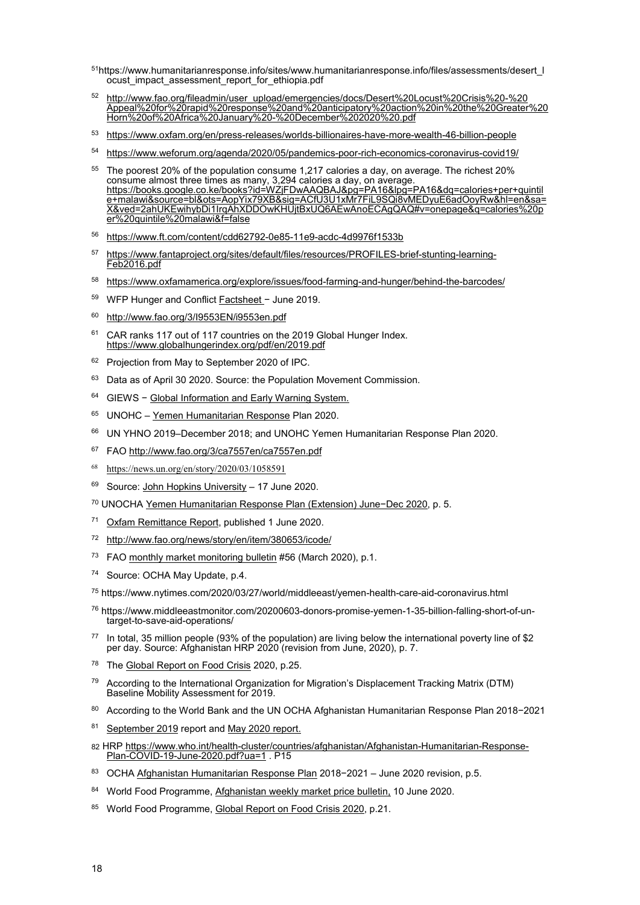- <span id="page-17-0"></span>51https://www.humanitarianresponse.info/sites/www.humanitarianresponse.info/files/assessments/desert\_l ocust impact assessment report for ethiopia.pdf
- <span id="page-17-1"></span>52 [http://www.fao.org/fileadmin/user\\_upload/emergencies/docs/Desert%20Locust%20Crisis%20-%20](http://www.fao.org/fileadmin/user_upload/emergencies/docs/Desert%20Locust%20Crisis%20-%20%E2%80%8CAppeal%20for%20rapid%20response%20and%20anticipatory%20action%20in%20the%20Greater%20Horn%20of%20Africa%20January%20-%20December%202020%20.pdf) [Appeal%20for%20rapid%20response%20and%20anticipatory%20action%20in%20the%20Greater%20](http://www.fao.org/fileadmin/user_upload/emergencies/docs/Desert%20Locust%20Crisis%20-%20%E2%80%8CAppeal%20for%20rapid%20response%20and%20anticipatory%20action%20in%20the%20Greater%20Horn%20of%20Africa%20January%20-%20December%202020%20.pdf) [Horn%20of%20Africa%20January%20-%20December%202020%20.pdf](http://www.fao.org/fileadmin/user_upload/emergencies/docs/Desert%20Locust%20Crisis%20-%20%E2%80%8CAppeal%20for%20rapid%20response%20and%20anticipatory%20action%20in%20the%20Greater%20Horn%20of%20Africa%20January%20-%20December%202020%20.pdf)
- <span id="page-17-2"></span>53 <https://www.oxfam.org/en/press-releases/worlds-billionaires-have-more-wealth-46-billion-people>
- <span id="page-17-3"></span>54 <https://www.weforum.org/agenda/2020/05/pandemics-poor-rich-economics-coronavirus-covid19/>
- <span id="page-17-4"></span>55 The poorest 20% of the population consume 1,217 calories a day, on average. The richest 20% consume almost three times as many, 3,294 calories a day, on average. [https://books.google.co.ke/books?id=WZjFDwAAQBAJ&pg=PA16&lpg=PA16&dq=calories+per+quintil](https://books.google.co.ke/books?id=WZjFDwAAQBAJ&pg=PA16&lpg=PA16&dq=calories+per+quintile+malawi&source=bl&ots=AopYix79XB&sig=ACfU3U1xMr7FiL9SQi8vMEDyuE6adOoyRw&hl=en&sa=X&ved=2ahUKEwihybDi1IrqAhXDDOwKHUjtBxUQ6AEwAnoECAgQAQ#v=onepage&q=calories%20per%20quintile%20malawi&f=false) [e+malawi&source=bl&ots=AopYix79XB&sig=ACfU3U1xMr7FiL9SQi8vMEDyuE6adOoyRw&hl=en&sa=](https://books.google.co.ke/books?id=WZjFDwAAQBAJ&pg=PA16&lpg=PA16&dq=calories+per+quintile+malawi&source=bl&ots=AopYix79XB&sig=ACfU3U1xMr7FiL9SQi8vMEDyuE6adOoyRw&hl=en&sa=X&ved=2ahUKEwihybDi1IrqAhXDDOwKHUjtBxUQ6AEwAnoECAgQAQ#v=onepage&q=calories%20per%20quintile%20malawi&f=false) [X&ved=2ahUKEwihybDi1IrqAhXDDOwKHUjtBxUQ6AEwAnoECAgQAQ#v=onepage&q=calories%20p](https://books.google.co.ke/books?id=WZjFDwAAQBAJ&pg=PA16&lpg=PA16&dq=calories+per+quintile+malawi&source=bl&ots=AopYix79XB&sig=ACfU3U1xMr7FiL9SQi8vMEDyuE6adOoyRw&hl=en&sa=X&ved=2ahUKEwihybDi1IrqAhXDDOwKHUjtBxUQ6AEwAnoECAgQAQ#v=onepage&q=calories%20per%20quintile%20malawi&f=false) [er%20quintile%20malawi&f=false](https://books.google.co.ke/books?id=WZjFDwAAQBAJ&pg=PA16&lpg=PA16&dq=calories+per+quintile+malawi&source=bl&ots=AopYix79XB&sig=ACfU3U1xMr7FiL9SQi8vMEDyuE6adOoyRw&hl=en&sa=X&ved=2ahUKEwihybDi1IrqAhXDDOwKHUjtBxUQ6AEwAnoECAgQAQ#v=onepage&q=calories%20per%20quintile%20malawi&f=false)
- <span id="page-17-5"></span>56 <https://www.ft.com/content/cdd62792-0e85-11e9-acdc-4d9976f1533b>
- <span id="page-17-6"></span>57 [https://www.fantaproject.org/sites/default/files/resources/PROFILES-brief-stunting-learning-](https://www.fantaproject.org/sites/default/files/resources/PROFILES-brief-stunting-learning-Feb2016.pdf)[Feb2016.pdf](https://www.fantaproject.org/sites/default/files/resources/PROFILES-brief-stunting-learning-Feb2016.pdf)
- <span id="page-17-7"></span>58 <https://www.oxfamamerica.org/explore/issues/food-farming-and-hunger/behind-the-barcodes/>
- <span id="page-17-8"></span>59 WFP Hunger and Conflict [Factsheet](https://reliefweb.int/sites/reliefweb.int/files/resources/WFP-0000105972.pdf) − June 2019.
- <span id="page-17-9"></span>60 <http://www.fao.org/3/I9553EN/i9553en.pdf>
- <span id="page-17-10"></span><sup>61</sup> CAR ranks 117 out of 117 countries on the 2019 Global Hunger Index. <https://www.globalhungerindex.org/pdf/en/2019.pdf>
- <span id="page-17-11"></span><sup>62</sup> Projection from May to September 2020 of IPC.
- <span id="page-17-12"></span><sup>63</sup> Data as of April 30 2020. Source: the Population Movement Commission.
- <span id="page-17-13"></span>64 GIEWS − [Global Information and Early Warning System.](http://www.fao.org/giews/countrybrief/country.jsp?code=CAF)
- <span id="page-17-14"></span>65 UNOHC - [Yemen Humanitarian Response](https://reliefweb.int/sites/reliefweb.int/files/resources/Extension%20Yemen%20HRP%202020_Final%20%281%29.pdf) Plan 2020.
- <span id="page-17-15"></span>66 UN YHNO 2019–December 2018; and UNOHC Yemen Humanitarian Response Plan 2020.
- <span id="page-17-16"></span><sup>67</sup> FAO<http://www.fao.org/3/ca7557en/ca7557en.pdf>
- <span id="page-17-17"></span>68 <https://news.un.org/en/story/2020/03/1058591>
- <span id="page-17-18"></span> $69$  Source: John Hopkins University - 17 June 2020.
- <span id="page-17-19"></span><sup>70</sup> UNOCH[A Yemen Humanitarian Response Plan \(Extension\) June](https://reliefweb.int/report/yemen/yemen-humanitarian-response-plan-extension-june-december-2020-enar)−Dec 2020, p. 5.
- <span id="page-17-20"></span>71 [Oxfam Remittance Report,](https://www.oxfam.org/en/press-releases/remittances-yemen-plummet-needs-surge-amid-war-and-coronavirus) published 1 June 2020.
- <span id="page-17-21"></span>72 <http://www.fao.org/news/story/en/item/380653/icode/>
- <span id="page-17-22"></span><sup>73</sup> FAO [monthly market monitoring bulletin](https://fscluster.org/sites/default/files/documents/fao_fsts_market_monitoring_bulletin_march_2020_en.pdf) #56 (March 2020), p.1.
- <span id="page-17-23"></span>74 Source: OCHA May Update, p.4.
- <span id="page-17-24"></span><sup>75</sup> https://www.nytimes.com/2020/03/27/world/middleeast/yemen-health-care-aid-coronavirus.html
- <span id="page-17-25"></span><sup>76</sup> https://www.middleeastmonitor.com/20200603-donors-promise-yemen-1-35-billion-falling-short-of-untarget-to-save-aid-operations/
- <span id="page-17-26"></span>77 In total, 35 million people (93% of the population) are living below the international poverty line of \$2 per day. Source: Afghanistan HRP 2020 (revision from June, 2020), p. 7.
- <span id="page-17-27"></span>78 The [Global Report on Food Crisis](https://docs.wfp.org/api/documents/WFP-0000114546/download/?_ga=2.28434364.1671098149.1591693142-1844573033.1591693142) 2020, p.25.
- <span id="page-17-28"></span>79 According to the International Organization for Migration's Displacement Tracking Matrix (DTM) Baseline Mobility Assessment for 2019.
- <span id="page-17-29"></span>80 According to the World Bank and the UN OCHA Afghanistan Humanitarian Response Plan 2018−2021
- <span id="page-17-30"></span>81 [September 2019](https://reliefweb.int/sites/reliefweb.int/files/resources/ipc_2019.pdf) report and May 2020 report.
- <span id="page-17-31"></span>82 HRP [https://www.who.int/health-cluster/countries/afghanistan/Afghanistan-Humanitarian-Response-](https://www.who.int/health-cluster/countries/afghanistan/Afghanistan-Humanitarian-Response-Plan-COVID-19-June-2020.pdf?ua=1)[Plan-COVID-19-June-2020.pdf?ua=1](https://www.who.int/health-cluster/countries/afghanistan/Afghanistan-Humanitarian-Response-Plan-COVID-19-June-2020.pdf?ua=1) . P15
- <span id="page-17-32"></span>83 OCHA [Afghanistan Humanitarian Response Plan](https://reliefweb.int/report/afghanistan/afghanistan-humanitarian-response-plan-2018-2021-june-2020-revision) 2018−2021 – June 2020 revision, p.5.
- <span id="page-17-33"></span>84 World Food Programme, [Afghanistan weekly market price bulletin,](https://reliefweb.int/sites/reliefweb.int/files/resources/WFP%20-%20Issue%204%20-%20Countrywide%20Weekly%20Market%20Price%20Bulletin_Week%201%20June%202020%20-%2010June20.pdf) 10 June 2020.
- <span id="page-17-34"></span>85 World Food Programme, [Global Report on Food Crisis 2020,](https://docs.wfp.org/api/documents/WFP-0000114546/download/?_ga=2.208978578.1604501587.1587364510-1264218027.1561107831) p.21.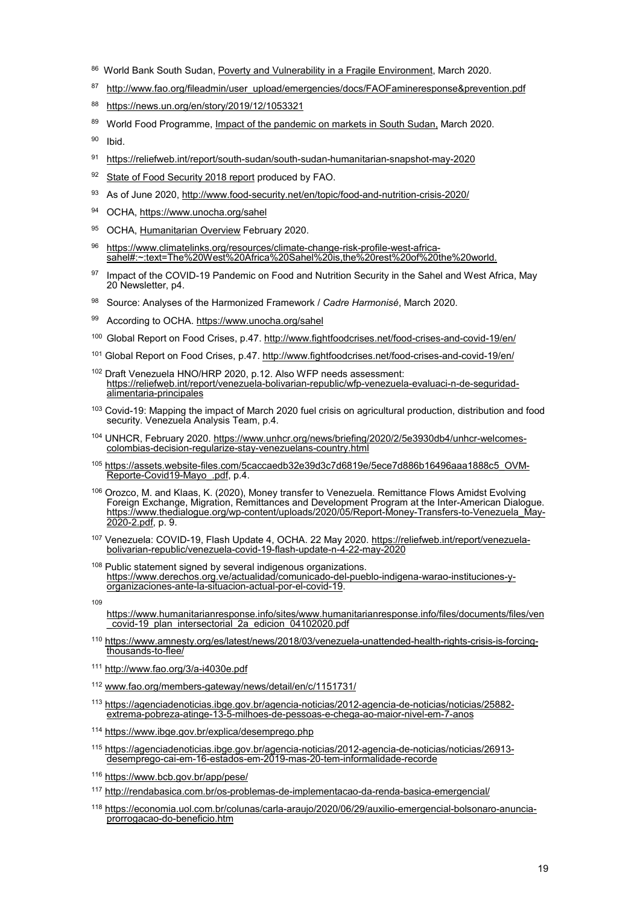- <span id="page-18-0"></span>86 World Bank South Sudan, [Poverty and Vulnerability in a Fragile Environment,](http://documents.worldbank.org/curated/en/893571583937198098/South-Sudan-Economic-Update-Poverty-and-Vulnerability-in-a-Fragile-Environment) March 2020.
- <span id="page-18-1"></span>87 [http://www.fao.org/fileadmin/user\\_upload/emergencies/docs/FAOFamineresponse&prevention.pdf](http://www.fao.org/fileadmin/user_upload/emergencies/docs/FAOFamineresponse&prevention.pdf)
- <span id="page-18-2"></span>88 <https://news.un.org/en/story/2019/12/1053321>
- <span id="page-18-3"></span>89 World Food Programme, [Impact of the pandemic on markets in South](https://reliefweb.int/sites/reliefweb.int/files/resources/wfp_south_sudan_-_impact_of_covid-19_on_markets_and_food_security_full.pdf) Sudan, March 2020.
- <span id="page-18-4"></span>90 Ibid.
- <span id="page-18-5"></span>91 <https://reliefweb.int/report/south-sudan/south-sudan-humanitarian-snapshot-may-2020>
- <span id="page-18-6"></span>92 [State of Food Security 2018 report](http://www.fao.org/3/I9553EN/i9553en.pdf) produced by FAO.
- <span id="page-18-7"></span>93 As of June 2020, http://www.food-security.net/en/topic/food-and-nutrition-crisis-2020/
- <span id="page-18-8"></span>94 OCHA, https://www.unocha.org/sahel
- <span id="page-18-9"></span>95 OCHA, [Humanitarian Overview](https://www.humanitarianresponse.info/sites/www.humanitarianresponse.info/files/documents/files/sahel-dashboard_two_pager-20200224.pdf) February 2020.
- <span id="page-18-10"></span>96 [https://www.climatelinks.org/resources/climate-change-risk-profile-west-africa](https://www.climatelinks.org/resources/climate-change-risk-profile-west-africa-sahel#:%7E:text=The%20West%20Africa%20Sahel%20is,the%20rest%20of%20the%20world.)[sahel#:~:text=The%20West%20Africa%20Sahel%20is,the%20rest%20of%20the%20world.](https://www.climatelinks.org/resources/climate-change-risk-profile-west-africa-sahel#:%7E:text=The%20West%20Africa%20Sahel%20is,the%20rest%20of%20the%20world.)
- <span id="page-18-11"></span>97 Impact of the COVID-19 Pandemic on Food and Nutrition Security in the Sahel and West Africa, May 20 Newsletter, p4.
- <span id="page-18-12"></span>98 Source: Analyses of the Harmonized Framework / *Cadre Harmonisé*, March 2020.
- <span id="page-18-13"></span>99 According to OCHA. https://www.unocha.org/sahel
- <span id="page-18-14"></span>100 Global Report on Food Crises, p.47.<http://www.fightfoodcrises.net/food-crises-and-covid-19/en/>
- <span id="page-18-15"></span><sup>101</sup> Global Report on Food Crises, p.47.<http://www.fightfoodcrises.net/food-crises-and-covid-19/en/>
- <span id="page-18-16"></span><sup>102</sup> Draft Venezuela HNO/HRP 2020, p.12. Also WFP needs assessment: [https://reliefweb.int/report/venezuela-bolivarian-republic/wfp-venezuela-evaluaci-n-de-seguridad-](https://reliefweb.int/report/venezuela-bolivarian-republic/wfp-venezuela-evaluaci-n-de-seguridad-alimentaria-principales) [alimentaria-principales](https://reliefweb.int/report/venezuela-bolivarian-republic/wfp-venezuela-evaluaci-n-de-seguridad-alimentaria-principales)
- <span id="page-18-17"></span><sup>103</sup> Covid-19: Mapping the impact of March 2020 fuel crisis on agricultural production, distribution and food security. Venezuela Analysis Team, p.4.
- <span id="page-18-18"></span>104 UNHCR, February 2020[. https://www.unhcr.org/news/briefing/2020/2/5e3930db4/unhcr-welcomes](https://www.unhcr.org/news/briefing/2020/2/5e3930db4/unhcr-welcomes-colombias-decision-regularize-stay-venezuelans-country.html)[colombias-decision-regularize-stay-venezuelans-country.html](https://www.unhcr.org/news/briefing/2020/2/5e3930db4/unhcr-welcomes-colombias-decision-regularize-stay-venezuelans-country.html)
- <span id="page-18-19"></span><sup>105</sup> [https://assets.website-files.com/5caccaedb32e39d3c7d6819e/5ece7d886b16496aaa1888c5\\_OVM-](https://assets.website-files.com/5caccaedb32e39d3c7d6819e/5ece7d886b16496aaa1888c5_OVM-Reporte-Covid19-Mayo_.pdf) [Reporte-Covid19-Mayo\\_.pdf,](https://assets.website-files.com/5caccaedb32e39d3c7d6819e/5ece7d886b16496aaa1888c5_OVM-Reporte-Covid19-Mayo_.pdf) p.4.
- <span id="page-18-20"></span><sup>106</sup> Orozco, M. and Klaas, K. (2020), Money transfer to Venezuela. Remittance Flows Amidst Evolving Foreign Exchange, Migration, Remittances and Development Program at the Inter-American Dialogue. [https://www.thedialogue.org/wp-content/uploads/2020/05/Report-Money-Transfers-to-Venezuela\\_May-](https://www.thedialogue.org/wp-content/uploads/2020/05/Report-Money-Transfers-to-Venezuela_May-2020-2.pdf)[2020-2.pdf,](https://www.thedialogue.org/wp-content/uploads/2020/05/Report-Money-Transfers-to-Venezuela_May-2020-2.pdf) p. 9.
- <span id="page-18-21"></span>107 Venezuela: COVID-19, Flash Update 4, OCHA. 22 May 2020[. https://reliefweb.int/report/venezuela](https://reliefweb.int/report/venezuela-bolivarian-republic/venezuela-covid-19-flash-update-n-4-22-may-2020)[bolivarian-republic/venezuela-covid-19-flash-update-n-4-22-may-2020](https://reliefweb.int/report/venezuela-bolivarian-republic/venezuela-covid-19-flash-update-n-4-22-may-2020)
- <span id="page-18-22"></span><sup>108</sup> Public statement signed by several indigenous organizations. [https://www.derechos.org.ve/actualidad/comunicado-del-pueblo-indigena-warao-instituciones-y](https://www.derechos.org.ve/actualidad/comunicado-del-pueblo-indigena-warao-instituciones-y-organizaciones-ante-la-situacion-actual-por-el-covid-19)[organizaciones-ante-la-situacion-actual-por-el-covid-19.](https://www.derechos.org.ve/actualidad/comunicado-del-pueblo-indigena-warao-instituciones-y-organizaciones-ante-la-situacion-actual-por-el-covid-19)
- <span id="page-18-23"></span> $100$

[https://www.humanitarianresponse.info/sites/www.humanitarianresponse.info/files/documents/files/ven](https://www.humanitarianresponse.info/sites/www.humanitarianresponse.info/files/documents/files/ven_covid-19_plan_intersectorial_2a_edicion_04102020.pdf) [\\_covid-19\\_plan\\_intersectorial\\_2a\\_edicion\\_04102020.pdf](https://www.humanitarianresponse.info/sites/www.humanitarianresponse.info/files/documents/files/ven_covid-19_plan_intersectorial_2a_edicion_04102020.pdf)

- <span id="page-18-24"></span>110 [https://www.amnesty.org/es/latest/news/2018/03/venezuela-unattended-health-rights-crisis-is-forcing-](https://www.amnesty.org/es/latest/news/2018/03/venezuela-unattended-health-rights-crisis-is-forcing-thousands-to-flee/)<br>[thousands-to-flee/](https://www.amnesty.org/es/latest/news/2018/03/venezuela-unattended-health-rights-crisis-is-forcing-thousands-to-flee/)
- <span id="page-18-25"></span><sup>111</sup> <http://www.fao.org/3/a-i4030e.pdf>
- <span id="page-18-26"></span><sup>112</sup> [www.fao.org/members-gateway/news/detail/en/c/1151731/](http://www.fao.org/members-gateway/news/detail/en/c/1151731/)
- <span id="page-18-27"></span><sup>113</sup> [https://agenciadenoticias.ibge.gov.br/agencia-noticias/2012-agencia-de-noticias/noticias/25882-](https://agenciadenoticias.ibge.gov.br/agencia-noticias/2012-agencia-de-noticias/noticias/25882-extrema-pobreza-atinge-13-5-milhoes-de-pessoas-e-chega-ao-maior-nivel-em-7-anos) [extrema-pobreza-atinge-13-5-milhoes-de-pessoas-e-chega-ao-maior-nivel-em-7-anos](https://agenciadenoticias.ibge.gov.br/agencia-noticias/2012-agencia-de-noticias/noticias/25882-extrema-pobreza-atinge-13-5-milhoes-de-pessoas-e-chega-ao-maior-nivel-em-7-anos)
- <span id="page-18-28"></span>114 <https://www.ibge.gov.br/explica/desemprego.php>
- <span id="page-18-29"></span><sup>115</sup> [https://agenciadenoticias.ibge.gov.br/agencia-noticias/2012-agencia-de-noticias/noticias/26913](https://agenciadenoticias.ibge.gov.br/agencia-noticias/2012-agencia-de-noticias/noticias/26913-desemprego-cai-em-16-estados-em-2019-mas-20-tem-informalidade-recorde) [desemprego-cai-em-16-estados-em-2019-mas-20-tem-informalidade-recorde](https://agenciadenoticias.ibge.gov.br/agencia-noticias/2012-agencia-de-noticias/noticias/26913-desemprego-cai-em-16-estados-em-2019-mas-20-tem-informalidade-recorde)
- <span id="page-18-30"></span><sup>116</sup> <https://www.bcb.gov.br/app/pese/>
- <span id="page-18-31"></span><sup>117</sup> <http://rendabasica.com.br/os-problemas-de-implementacao-da-renda-basica-emergencial/>
- <span id="page-18-32"></span><sup>118</sup> [https://economia.uol.com.br/colunas/carla-araujo/2020/06/29/auxilio-emergencial-bolsonaro-anuncia-](https://economia.uol.com.br/colunas/carla-araujo/2020/06/29/auxilio-emergencial-bolsonaro-anuncia-prorrogacao-do-beneficio.htm) [prorrogacao-do-beneficio.htm](https://economia.uol.com.br/colunas/carla-araujo/2020/06/29/auxilio-emergencial-bolsonaro-anuncia-prorrogacao-do-beneficio.htm)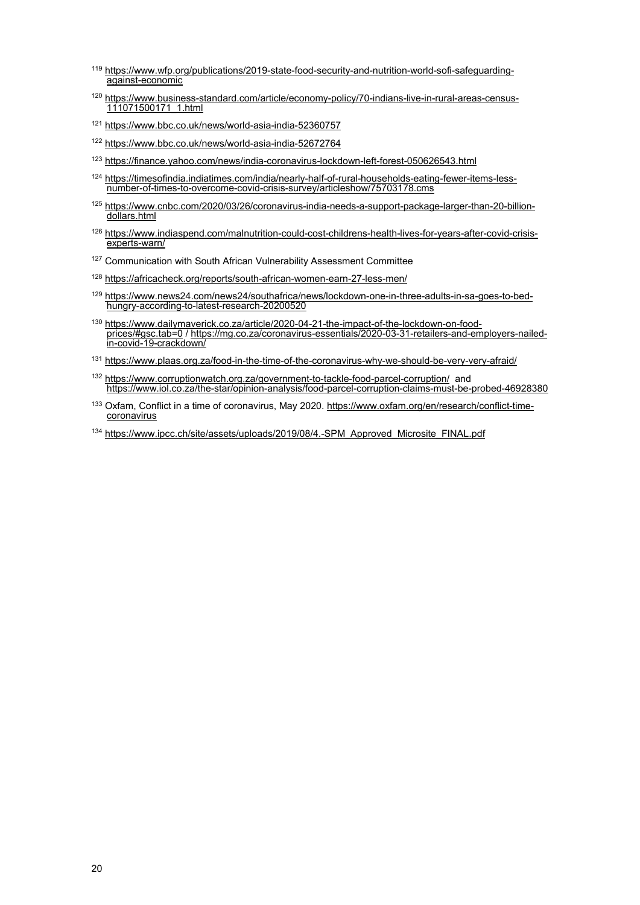- <span id="page-19-0"></span><sup>119</sup> [https://www.wfp.org/publications/2019-state-food-security-and-nutrition-world-sofi-safeguarding](https://www.wfp.org/publications/2019-state-food-security-and-nutrition-world-sofi-safeguarding-against-economic)[against-economic](https://www.wfp.org/publications/2019-state-food-security-and-nutrition-world-sofi-safeguarding-against-economic)
- <span id="page-19-1"></span><sup>120</sup> [https://www.business-standard.com/article/economy-policy/70-indians-live-in-rural-areas-census-](https://www.business-standard.com/article/economy-policy/70-indians-live-in-rural-areas-census-111071500171_1.html)[111071500171\\_1.html](https://www.business-standard.com/article/economy-policy/70-indians-live-in-rural-areas-census-111071500171_1.html)
- <span id="page-19-2"></span><sup>121</sup> <https://www.bbc.co.uk/news/world-asia-india-52360757>
- <span id="page-19-3"></span><sup>122</sup> <https://www.bbc.co.uk/news/world-asia-india-52672764>
- <span id="page-19-4"></span><sup>123</sup> <https://finance.yahoo.com/news/india-coronavirus-lockdown-left-forest-050626543.html>
- <span id="page-19-5"></span>124 [https://timesofindia.indiatimes.com/india/nearly-half-of-rural-households-eating-fewer-items-less-](https://timesofindia.indiatimes.com/india/nearly-half-of-rural-households-eating-fewer-items-less-number-of-times-to-overcome-covid-crisis-survey/articleshow/75703178.cms)<br>[number-of-times-to-overcome-covid-crisis-survey/articleshow/75703178.cms](https://timesofindia.indiatimes.com/india/nearly-half-of-rural-households-eating-fewer-items-less-number-of-times-to-overcome-covid-crisis-survey/articleshow/75703178.cms)
- <span id="page-19-6"></span>125 [https://www.cnbc.com/2020/03/26/coronavirus-india-needs-a-support-package-larger-than-20-billion](https://www.cnbc.com/2020/03/26/coronavirus-india-needs-a-support-package-larger-than-20-billion-dollars.html)[dollars.html](https://www.cnbc.com/2020/03/26/coronavirus-india-needs-a-support-package-larger-than-20-billion-dollars.html)
- <span id="page-19-7"></span>126 [https://www.indiaspend.com/malnutrition-could-cost-childrens-health-lives-for-years-after-covid-crisis](https://www.indiaspend.com/malnutrition-could-cost-childrens-health-lives-for-years-after-covid-crisis-experts-warn/)[experts-warn/](https://www.indiaspend.com/malnutrition-could-cost-childrens-health-lives-for-years-after-covid-crisis-experts-warn/)
- <span id="page-19-8"></span><sup>127</sup> Communication with South African Vulnerability Assessment Committee
- <span id="page-19-9"></span><sup>128</sup> <https://africacheck.org/reports/south-african-women-earn-27-less-men/>
- <span id="page-19-10"></span><sup>129</sup> [https://www.news24.com/news24/southafrica/news/lockdown-one-in-three-adults-in-sa-goes-to-bed](https://www.news24.com/news24/southafrica/news/lockdown-one-in-three-adults-in-sa-goes-to-bed-hungry-according-to-latest-research-20200520)[hungry-according-to-latest-research-20200520](https://www.news24.com/news24/southafrica/news/lockdown-one-in-three-adults-in-sa-goes-to-bed-hungry-according-to-latest-research-20200520)
- <span id="page-19-11"></span><sup>130</sup> [https://www.dailymaverick.co.za/article/2020-04-21-the-impact-of-the-lockdown-on-food](https://www.dailymaverick.co.za/article/2020-04-21-the-impact-of-the-lockdown-on-food-prices/#gsc.tab=0)[prices/#gsc.tab=0](https://www.dailymaverick.co.za/article/2020-04-21-the-impact-of-the-lockdown-on-food-prices/#gsc.tab=0) [/ https://mg.co.za/coronavirus-essentials/2020-03-31-retailers-and-employers-nailed](https://mg.co.za/coronavirus-essentials/2020-03-31-retailers-and-employers-nailed-in-covid-19-crackdown/)[in-covid-19-crackdown/](https://mg.co.za/coronavirus-essentials/2020-03-31-retailers-and-employers-nailed-in-covid-19-crackdown/)
- <span id="page-19-12"></span>131 <https://www.plaas.org.za/food-in-the-time-of-the-coronavirus-why-we-should-be-very-very-afraid/>
- <span id="page-19-13"></span>132 <https://www.corruptionwatch.org.za/government-to-tackle-food-parcel-corruption/>and <https://www.iol.co.za/the-star/opinion-analysis/food-parcel-corruption-claims-must-be-probed-46928380>
- <span id="page-19-14"></span>133 Oxfam, Conflict in a time of coronavirus, May 2020. [https://www.oxfam.org/en/research/conflict-time-](https://www.oxfam.org/en/research/conflict-time-coronavirus)<br>[coronavirus](https://www.oxfam.org/en/research/conflict-time-coronavirus)
- <span id="page-19-15"></span><sup>134</sup> [https://www.ipcc.ch/site/assets/uploads/2019/08/4.-SPM\\_Approved\\_Microsite\\_FINAL.pdf](https://www.ipcc.ch/site/assets/uploads/2019/08/4.-SPM_Approved_Microsite_FINAL.pdf)